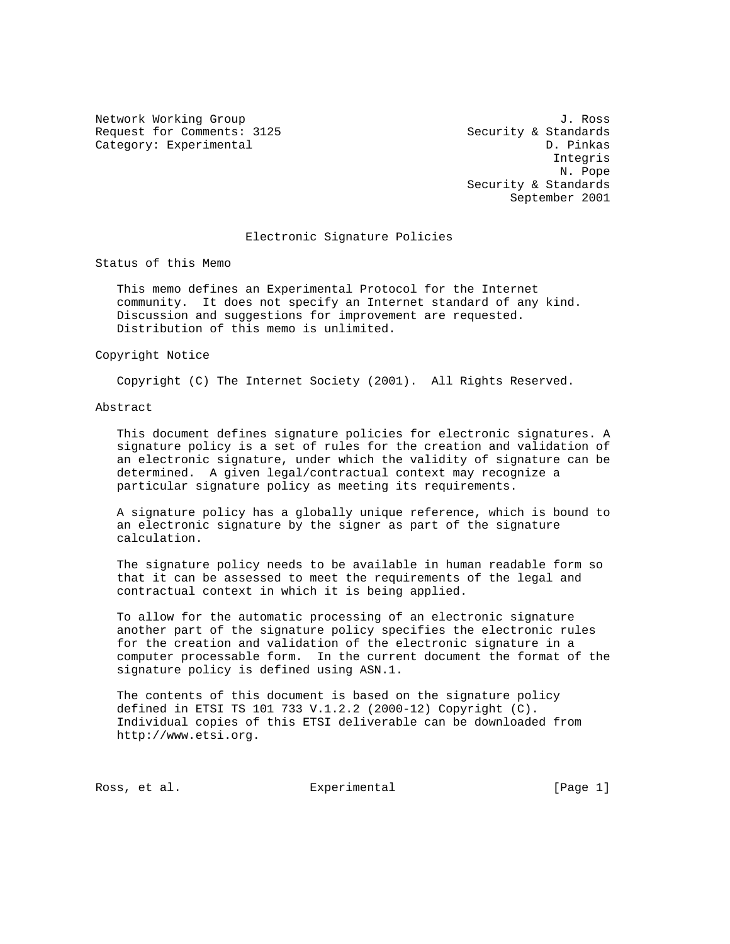Network Working Group 3. 2008 3. Not the U.S. of the U.S. of the U.S. of the U.S. of the U.S. of the U.S. of the U.S. of the U.S. of the U.S. of the U.S. of the U.S. of the U.S. of the U.S. of the U.S. of the U.S. of the U Request for Comments: 3125 Security & Standards Category: Experimental D. Pinkas

 Integris N. Pope Security & Standards September 2001

#### Electronic Signature Policies

Status of this Memo

 This memo defines an Experimental Protocol for the Internet community. It does not specify an Internet standard of any kind. Discussion and suggestions for improvement are requested. Distribution of this memo is unlimited.

Copyright Notice

Copyright (C) The Internet Society (2001). All Rights Reserved.

#### Abstract

 This document defines signature policies for electronic signatures. A signature policy is a set of rules for the creation and validation of an electronic signature, under which the validity of signature can be determined. A given legal/contractual context may recognize a particular signature policy as meeting its requirements.

 A signature policy has a globally unique reference, which is bound to an electronic signature by the signer as part of the signature calculation.

 The signature policy needs to be available in human readable form so that it can be assessed to meet the requirements of the legal and contractual context in which it is being applied.

 To allow for the automatic processing of an electronic signature another part of the signature policy specifies the electronic rules for the creation and validation of the electronic signature in a computer processable form. In the current document the format of the signature policy is defined using ASN.1.

 The contents of this document is based on the signature policy defined in ETSI TS 101 733 V.1.2.2 (2000-12) Copyright (C). Individual copies of this ETSI deliverable can be downloaded from http://www.etsi.org.

Ross, et al. Subsection Experimental Ross, et al. (Page 1)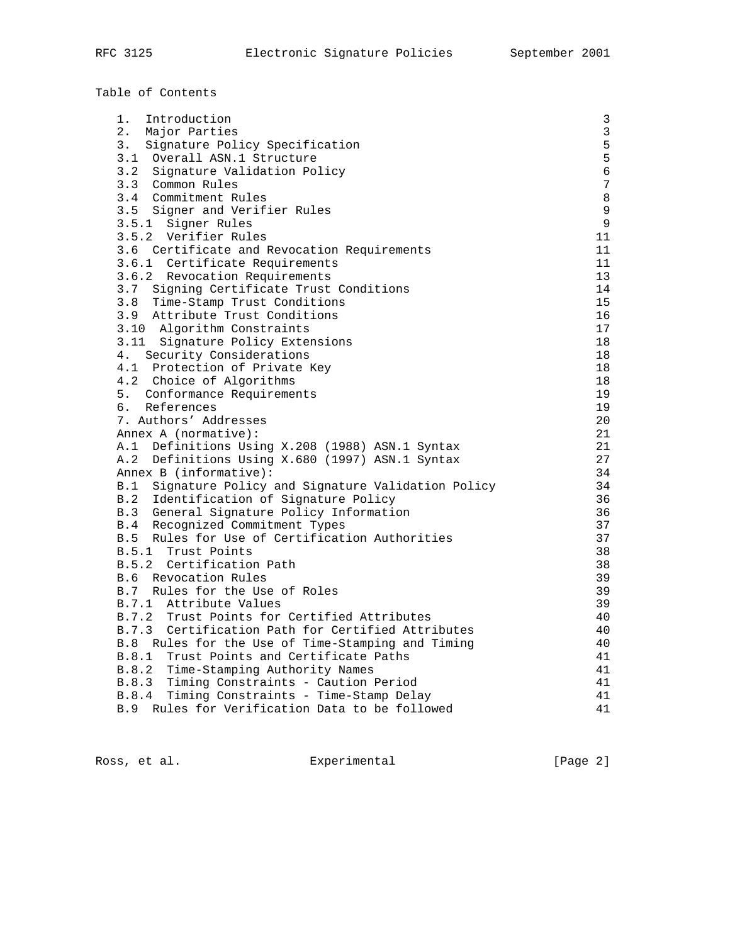|  |  | Table of Contents |
|--|--|-------------------|
|--|--|-------------------|

| 1.<br>Introduction                                   | $\mathsf 3$    |
|------------------------------------------------------|----------------|
| 2. Major Parties                                     | $\overline{3}$ |
| 3. Signature Policy Specification                    | 5              |
| 3.1 Overall ASN.1 Structure                          | 5              |
| 3.2 Signature Validation Policy                      | $\epsilon$     |
| 3.3 Common Rules                                     | $\overline{7}$ |
| 3.4 Commitment Rules                                 | 8              |
| 3.5 Signer and Verifier Rules                        | 9              |
| 3.5.1 Signer Rules                                   | 9              |
| 3.5.2 Verifier Rules                                 | 11             |
| 3.6 Certificate and Revocation Requirements          | 11             |
| 3.6.1 Certificate Requirements                       | 11             |
| 3.6.2 Revocation Requirements                        | 13             |
| 3.7 Signing Certificate Trust Conditions             | 14             |
| 3.8<br>Time-Stamp Trust Conditions                   | 15             |
| 3.9 Attribute Trust Conditions                       | 16             |
| 3.10 Algorithm Constraints                           | 17             |
| 3.11 Signature Policy Extensions                     | 18             |
| 4. Security Considerations                           | 18             |
| 4.1 Protection of Private Key                        | 18             |
| 4.2 Choice of Algorithms                             | 18             |
| 5. Conformance Requirements                          | 19             |
| 6. References                                        | 19             |
| 7. Authors' Addresses                                | 20             |
| Annex A (normative):                                 | 21             |
| A.1 Definitions Using X.208 (1988) ASN.1 Syntax      | 21             |
| A.2 Definitions Using X.680 (1997) ASN.1 Syntax      | 27             |
| Annex B (informative):                               | 34             |
| B.1 Signature Policy and Signature Validation Policy | 34             |
| B.2 Identification of Signature Policy               | 36             |
| B.3 General Signature Policy Information             | 36             |
| B.4<br>Recognized Commitment Types                   | 37             |
| B.5 Rules for Use of Certification Authorities       | 37             |
| B.5.1 Trust Points                                   | 38             |
| B.5.2 Certification Path                             | 38             |
| B.6 Revocation Rules                                 | 39             |
| B.7 Rules for the Use of Roles                       | 39             |
| B.7.1 Attribute Values                               | 39             |
| B.7.2 Trust Points for Certified Attributes          | 40             |
| B.7.3 Certification Path for Certified Attributes    | 40             |
| B.8<br>Rules for the Use of Time-Stamping and Timing | 40             |
| B.8.1 Trust Points and Certificate Paths             | 41             |
| B.8.2 Time-Stamping Authority Names                  | 41             |
| B.8.3 Timing Constraints - Caution Period            | 41             |
| B.8.4 Timing Constraints - Time-Stamp Delay          | 41             |
| B.9 Rules for Verification Data to be followed       | 41             |

Ross, et al. Experimental Experimental [Page 2]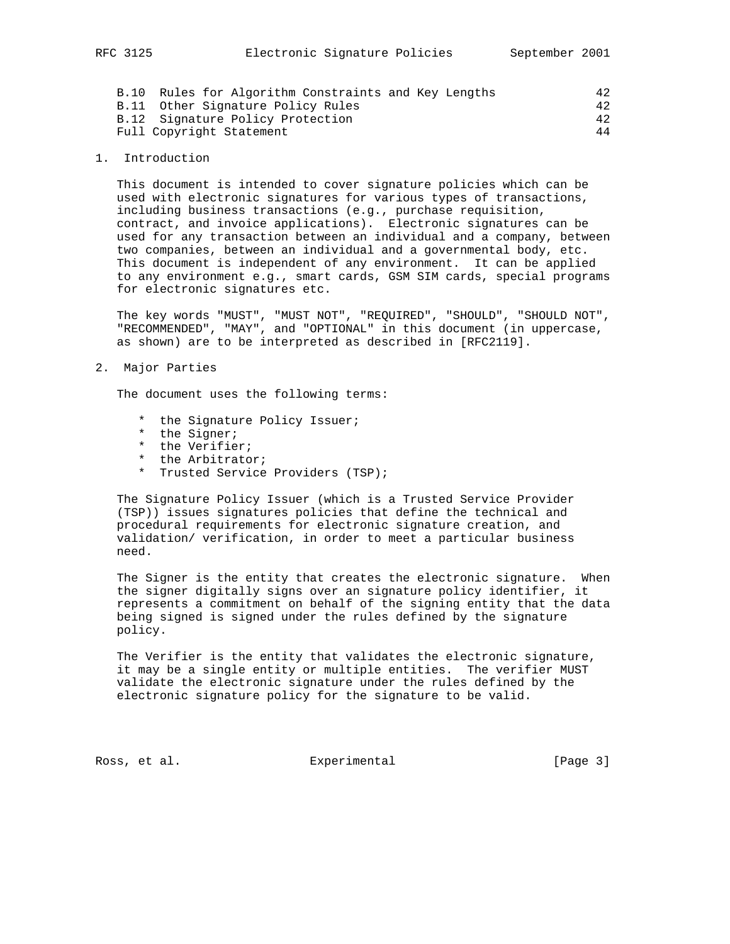| B.11 Other Signature Policy Rules | 42 |
|-----------------------------------|----|
| B.12 Signature Policy Protection  | 42 |
| Full Copyright Statement          | 44 |

#### 1. Introduction

 This document is intended to cover signature policies which can be used with electronic signatures for various types of transactions, including business transactions (e.g., purchase requisition, contract, and invoice applications). Electronic signatures can be used for any transaction between an individual and a company, between two companies, between an individual and a governmental body, etc. This document is independent of any environment. It can be applied to any environment e.g., smart cards, GSM SIM cards, special programs for electronic signatures etc.

 The key words "MUST", "MUST NOT", "REQUIRED", "SHOULD", "SHOULD NOT", "RECOMMENDED", "MAY", and "OPTIONAL" in this document (in uppercase, as shown) are to be interpreted as described in [RFC2119].

2. Major Parties

The document uses the following terms:

- \* the Signature Policy Issuer;
- \* the Signer;
- \* the Verifier;
- the Arbitrator;
- \* Trusted Service Providers (TSP);

 The Signature Policy Issuer (which is a Trusted Service Provider (TSP)) issues signatures policies that define the technical and procedural requirements for electronic signature creation, and validation/ verification, in order to meet a particular business need.

 The Signer is the entity that creates the electronic signature. When the signer digitally signs over an signature policy identifier, it represents a commitment on behalf of the signing entity that the data being signed is signed under the rules defined by the signature policy.

 The Verifier is the entity that validates the electronic signature, it may be a single entity or multiple entities. The verifier MUST validate the electronic signature under the rules defined by the electronic signature policy for the signature to be valid.

Ross, et al. Subsection Experimental Ross, et al. (Page 3)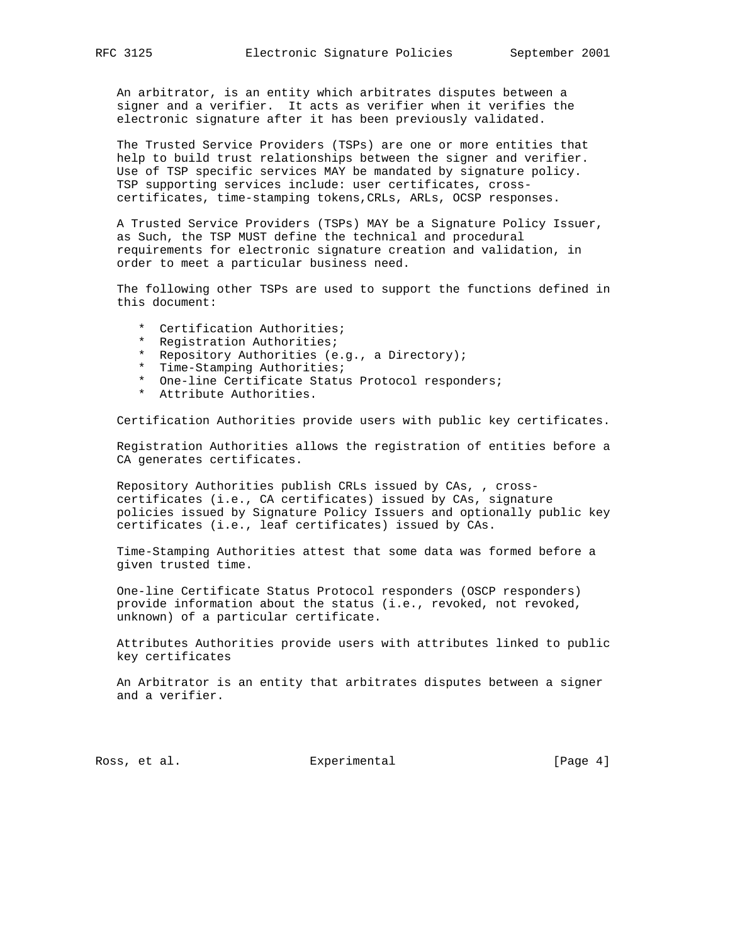An arbitrator, is an entity which arbitrates disputes between a signer and a verifier. It acts as verifier when it verifies the electronic signature after it has been previously validated.

 The Trusted Service Providers (TSPs) are one or more entities that help to build trust relationships between the signer and verifier. Use of TSP specific services MAY be mandated by signature policy. TSP supporting services include: user certificates, cross certificates, time-stamping tokens,CRLs, ARLs, OCSP responses.

 A Trusted Service Providers (TSPs) MAY be a Signature Policy Issuer, as Such, the TSP MUST define the technical and procedural requirements for electronic signature creation and validation, in order to meet a particular business need.

 The following other TSPs are used to support the functions defined in this document:

- \* Certification Authorities;
- \* Registration Authorities;
- \* Repository Authorities (e.g., a Directory);
- \* Time-Stamping Authorities;
- \* One-line Certificate Status Protocol responders;
- \* Attribute Authorities.

Certification Authorities provide users with public key certificates.

 Registration Authorities allows the registration of entities before a CA generates certificates.

 Repository Authorities publish CRLs issued by CAs, , cross certificates (i.e., CA certificates) issued by CAs, signature policies issued by Signature Policy Issuers and optionally public key certificates (i.e., leaf certificates) issued by CAs.

 Time-Stamping Authorities attest that some data was formed before a given trusted time.

 One-line Certificate Status Protocol responders (OSCP responders) provide information about the status (i.e., revoked, not revoked, unknown) of a particular certificate.

 Attributes Authorities provide users with attributes linked to public key certificates

 An Arbitrator is an entity that arbitrates disputes between a signer and a verifier.

Ross, et al. Subsection Experimental Ross, et al. (Page 4)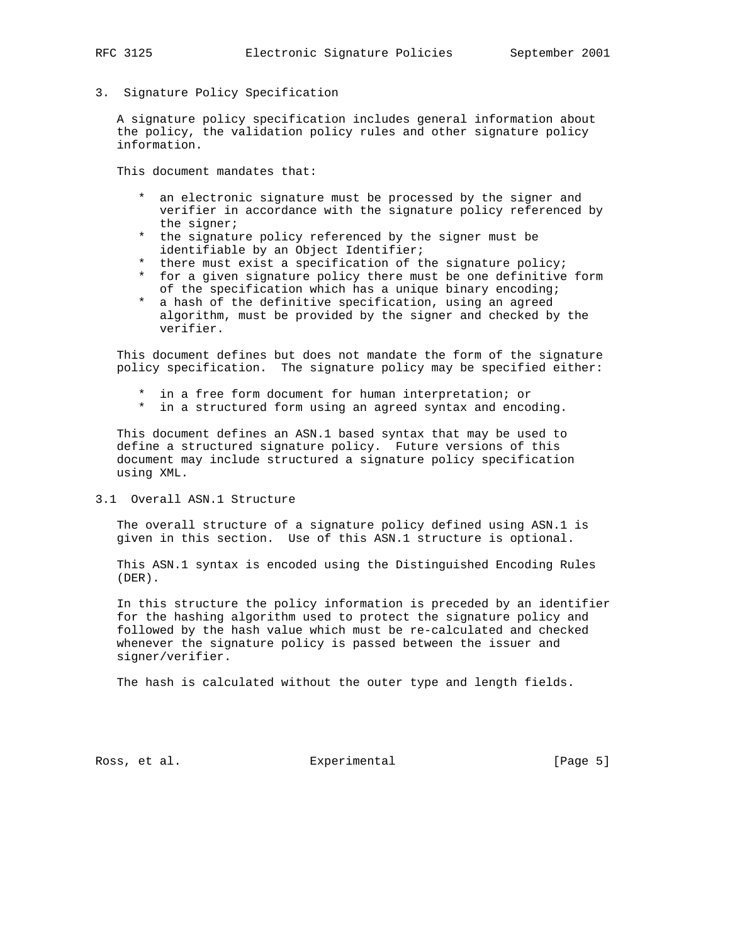- 
- 3. Signature Policy Specification

 A signature policy specification includes general information about the policy, the validation policy rules and other signature policy information.

This document mandates that:

- \* an electronic signature must be processed by the signer and verifier in accordance with the signature policy referenced by the signer;
- \* the signature policy referenced by the signer must be identifiable by an Object Identifier;
- \* there must exist a specification of the signature policy;
- \* for a given signature policy there must be one definitive form of the specification which has a unique binary encoding;
- \* a hash of the definitive specification, using an agreed algorithm, must be provided by the signer and checked by the verifier.

 This document defines but does not mandate the form of the signature policy specification. The signature policy may be specified either:

- \* in a free form document for human interpretation; or
- \* in a structured form using an agreed syntax and encoding.

 This document defines an ASN.1 based syntax that may be used to define a structured signature policy. Future versions of this document may include structured a signature policy specification using XML.

3.1 Overall ASN.1 Structure

 The overall structure of a signature policy defined using ASN.1 is given in this section. Use of this ASN.1 structure is optional.

 This ASN.1 syntax is encoded using the Distinguished Encoding Rules (DER).

 In this structure the policy information is preceded by an identifier for the hashing algorithm used to protect the signature policy and followed by the hash value which must be re-calculated and checked whenever the signature policy is passed between the issuer and signer/verifier.

The hash is calculated without the outer type and length fields.

Ross, et al. Subsection Experimental Ross, et al. (Page 5)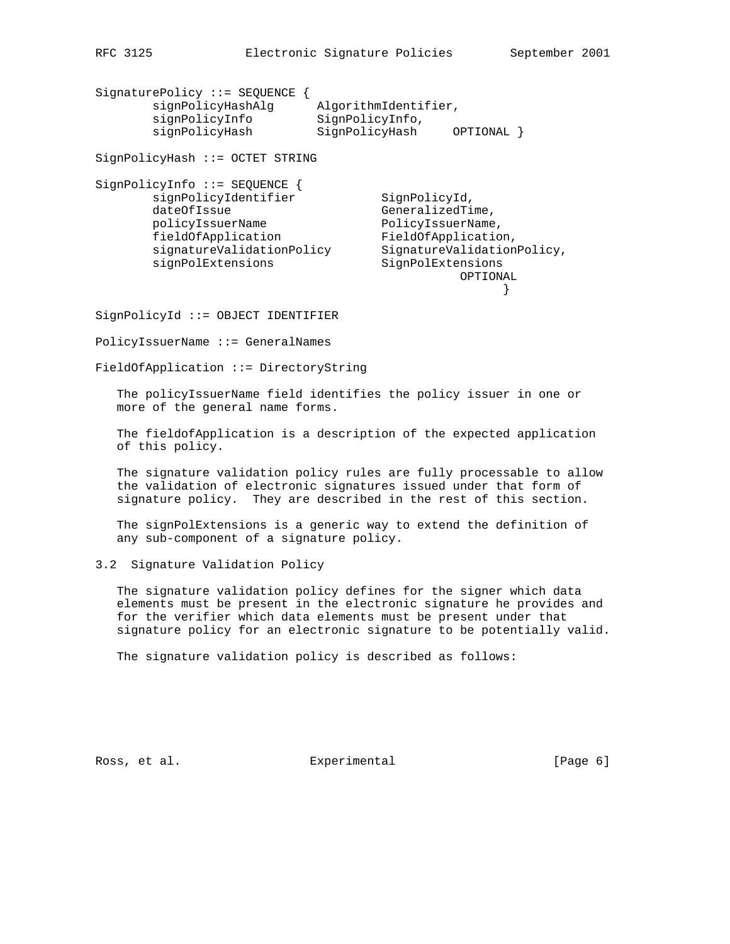SignaturePolicy ::= SEQUENCE { signPolicyHashAlg AlgorithmIdentifier, signPolicyInfo SignPolicyInfo, signPolicyHash SignPolicyHash OPTIONAL } SignPolicyHash ::= OCTET STRING SignPolicyInfo ::= SEQUENCE { signPolicyIdentifier SignPolicyId, dateOfIssue GeneralizedTime, policyIssuerName PolicyIssuerName, fieldOfApplication FieldOfApplication, signatureValidationPolicy SignatureValidationPolicy, signPolExtensions SignPolExtensions OPTIONAL } SignPolicyId ::= OBJECT IDENTIFIER

PolicyIssuerName ::= GeneralNames

FieldOfApplication ::= DirectoryString

 The policyIssuerName field identifies the policy issuer in one or more of the general name forms.

 The fieldofApplication is a description of the expected application of this policy.

 The signature validation policy rules are fully processable to allow the validation of electronic signatures issued under that form of signature policy. They are described in the rest of this section.

 The signPolExtensions is a generic way to extend the definition of any sub-component of a signature policy.

3.2 Signature Validation Policy

 The signature validation policy defines for the signer which data elements must be present in the electronic signature he provides and for the verifier which data elements must be present under that signature policy for an electronic signature to be potentially valid.

The signature validation policy is described as follows:

Ross, et al. Subsection Experimental Ross, et al. (Page 6)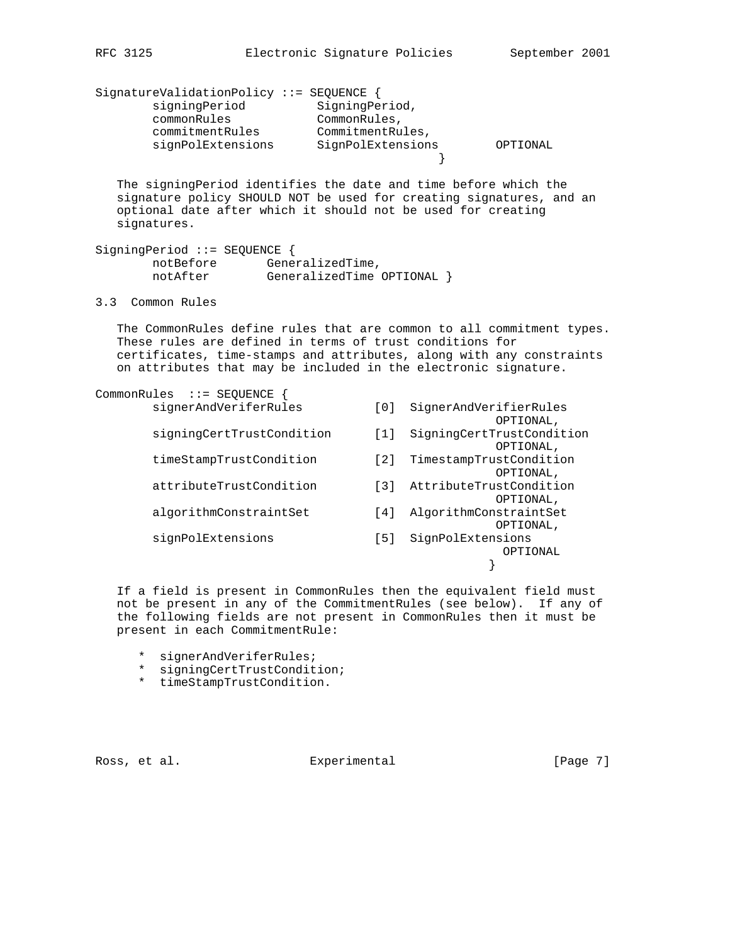| SignatureValidationPolicy ::= SEQUENCE {<br>signingPeriod<br>commonRules<br>commitmentRules<br>signPolExtensions                                                                                                                                                             | SigningPeriod,<br>CommonRules,<br>CommitmentRules,<br>SignPolExtensions | OPTIONAL                                            |
|------------------------------------------------------------------------------------------------------------------------------------------------------------------------------------------------------------------------------------------------------------------------------|-------------------------------------------------------------------------|-----------------------------------------------------|
| The signingPeriod identifies the date and time before which the<br>signature policy SHOULD NOT be used for creating signatures, and an<br>optional date after which it should not be used for creating<br>signatures.                                                        |                                                                         |                                                     |
| SigningPeriod ::= SEQUENCE {<br>notBefore<br>GeneralizedTime,<br>notAfter<br>GeneralizedTime OPTIONAL }                                                                                                                                                                      |                                                                         |                                                     |
| 3.3 Common Rules                                                                                                                                                                                                                                                             |                                                                         |                                                     |
| The CommonRules define rules that are common to all commitment types.<br>These rules are defined in terms of trust conditions for<br>certificates, time-stamps and attributes, along with any constraints<br>on attributes that may be included in the electronic signature. |                                                                         |                                                     |
| CommonRules $::=$ SEQUENCE {<br>signerAndVeriferRules                                                                                                                                                                                                                        | $\lceil 0 \rceil$                                                       | SignerAndVerifierRules                              |
| signingCertTrustCondition                                                                                                                                                                                                                                                    | $\lceil 1 \rceil$                                                       | OPTIONAL,<br>SigningCertTrustCondition<br>OPTIONAL, |
| timeStampTrustCondition                                                                                                                                                                                                                                                      | [2]                                                                     | TimestampTrustCondition<br>OPTIONAL,                |
| attributeTrustCondition                                                                                                                                                                                                                                                      | $\left[\begin{array}{c}3\end{array}\right]$                             | AttributeTrustCondition<br>OPTIONAL,                |
| algorithmConstraintSet                                                                                                                                                                                                                                                       | [4]                                                                     | AlgorithmConstraintSet<br>OPTIONAL,                 |
| signPolExtensions                                                                                                                                                                                                                                                            | [5]                                                                     | SignPolExtensions<br>OPTIONAL                       |
|                                                                                                                                                                                                                                                                              |                                                                         |                                                     |

 If a field is present in CommonRules then the equivalent field must not be present in any of the CommitmentRules (see below). If any of the following fields are not present in CommonRules then it must be present in each CommitmentRule:

- \* signerAndVeriferRules;
- \* signingCertTrustCondition;
- \* timeStampTrustCondition.

Ross, et al. Subsection Experimental Ross, et al. (Page 7)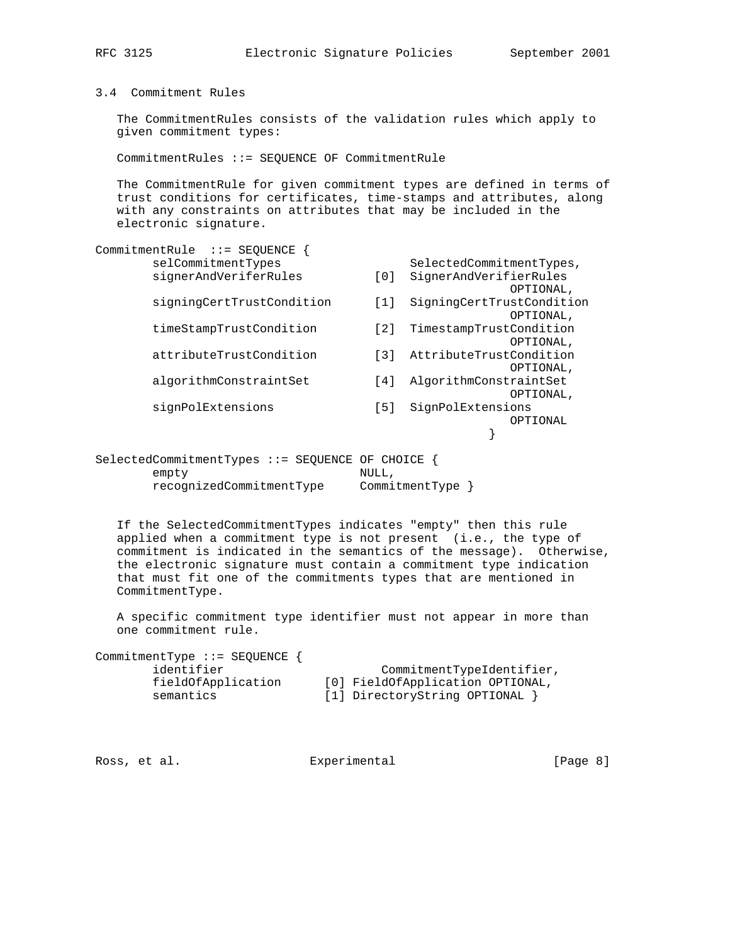3.4 Commitment Rules

 The CommitmentRules consists of the validation rules which apply to given commitment types:

CommitmentRules ::= SEQUENCE OF CommitmentRule

 The CommitmentRule for given commitment types are defined in terms of trust conditions for certificates, time-stamps and attributes, along with any constraints on attributes that may be included in the electronic signature.

|                                       | SelectedCommitmentTypes,                          |
|---------------------------------------|---------------------------------------------------|
| $\begin{array}{c} 0 \\ 0 \end{array}$ | SignerAndVerifierRules                            |
|                                       | OPTIONAL,                                         |
| [1]                                   | SigningCertTrustCondition                         |
|                                       | OPTIONAL,                                         |
| $\lceil 2 \rceil$                     | TimestampTrustCondition                           |
|                                       | OPTIONAL,                                         |
| $\lceil 3 \rceil$                     | AttributeTrustCondition                           |
|                                       | OPTIONAL,                                         |
| [4]                                   | AlgorithmConstraintSet                            |
|                                       | OPTIONAL,                                         |
| $[5]$                                 | SignPolExtensions                                 |
|                                       | OPTIONAL                                          |
|                                       |                                                   |
|                                       |                                                   |
|                                       | $SelectedCommitmentTypes :: = SEQUENCE OF CHOICE$ |

empty NULL, recognizedCommitmentType CommitmentType }

 If the SelectedCommitmentTypes indicates "empty" then this rule applied when a commitment type is not present (i.e., the type of commitment is indicated in the semantics of the message). Otherwise, the electronic signature must contain a commitment type indication that must fit one of the commitments types that are mentioned in CommitmentType.

 A specific commitment type identifier must not appear in more than one commitment rule.

| CommitmentTypeIdentifier,        |
|----------------------------------|
| [0] FieldOfApplication OPTIONAL, |
| [1] DirectoryString OPTIONAL }   |
|                                  |

Ross, et al. Experimental [Page 8]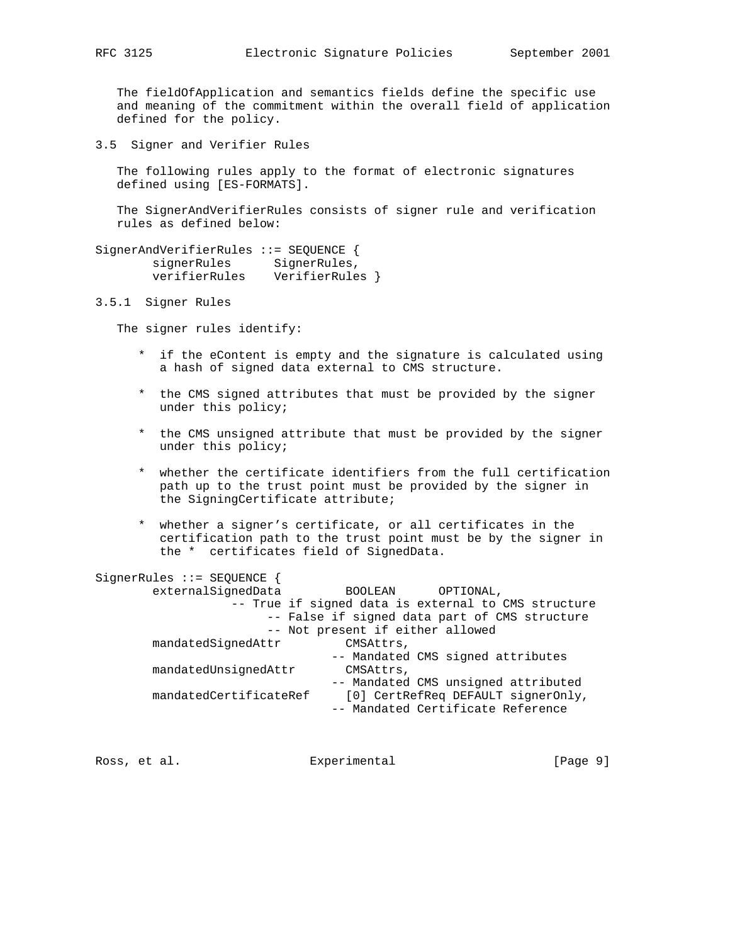The fieldOfApplication and semantics fields define the specific use and meaning of the commitment within the overall field of application defined for the policy.

3.5 Signer and Verifier Rules

 The following rules apply to the format of electronic signatures defined using [ES-FORMATS].

 The SignerAndVerifierRules consists of signer rule and verification rules as defined below:

SignerAndVerifierRules ::= SEQUENCE { signerRules SignerRules, verifierRules VerifierRules }

3.5.1 Signer Rules

The signer rules identify:

- \* if the eContent is empty and the signature is calculated using a hash of signed data external to CMS structure.
- \* the CMS signed attributes that must be provided by the signer under this policy;
- \* the CMS unsigned attribute that must be provided by the signer under this policy;
- \* whether the certificate identifiers from the full certification path up to the trust point must be provided by the signer in the SigningCertificate attribute;
- \* whether a signer's certificate, or all certificates in the certification path to the trust point must be by the signer in the \* certificates field of SignedData.

| SignerRules ::= SEQUENCE { |                                                     |
|----------------------------|-----------------------------------------------------|
| externalSignedData         | BOOLEAN<br>OPTIONAL,                                |
|                            | -- True if signed data is external to CMS structure |
|                            | -- False if signed data part of CMS structure       |
|                            | -- Not present if either allowed                    |
| mandatedSignedAttr         | CMSAttrs,                                           |
|                            | -- Mandated CMS signed attributes                   |
| mandatedUnsignedAttr       | CMSAttrs,                                           |
|                            | -- Mandated CMS unsigned attributed                 |
| mandatedCertificateRef     | [0] CertRefReq DEFAULT signerOnly,                  |
|                            | -- Mandated Certificate Reference                   |
|                            |                                                     |

Ross, et al. Subsection Experimental Ross, et al. (Page 9)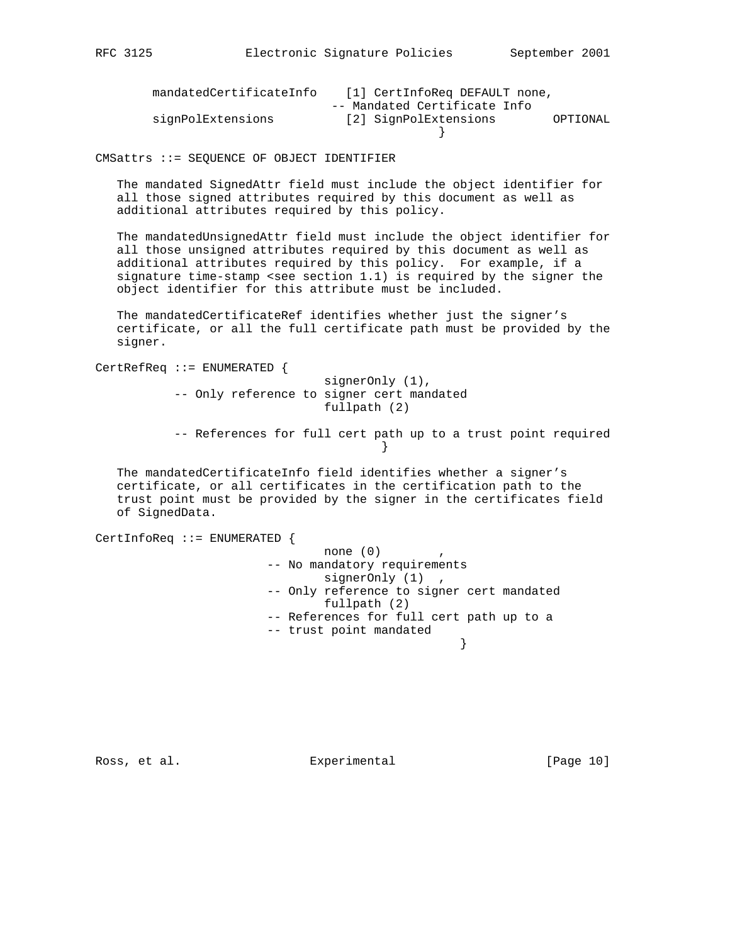| mandatedCertificateInfo | [1] CertInfoReg DEFAULT none,     |  |
|-------------------------|-----------------------------------|--|
|                         | -- Mandated Certificate Info      |  |
| signPolExtensions       | [2] SignPolExtensions<br>OPTIONAL |  |
|                         |                                   |  |

CMSattrs ::= SEQUENCE OF OBJECT IDENTIFIER

 The mandated SignedAttr field must include the object identifier for all those signed attributes required by this document as well as additional attributes required by this policy.

 The mandatedUnsignedAttr field must include the object identifier for all those unsigned attributes required by this document as well as additional attributes required by this policy. For example, if a signature time-stamp <see section 1.1) is required by the signer the object identifier for this attribute must be included.

 The mandatedCertificateRef identifies whether just the signer's certificate, or all the full certificate path must be provided by the signer.

CertRefReq ::= ENUMERATED { signerOnly (1), -- Only reference to signer cert mandated fullpath (2)

 -- References for full cert path up to a trust point required }

 The mandatedCertificateInfo field identifies whether a signer's certificate, or all certificates in the certification path to the trust point must be provided by the signer in the certificates field of SignedData.

```
CertInfoReq ::= ENUMERATED {
                         none (0) -- No mandatory requirements
                          signerOnly (1) ,
                    -- Only reference to signer cert mandated
                           fullpath (2)
                    -- References for full cert path up to a
                    -- trust point mandated
 }
```
Ross, et al. Experimental [Page 10]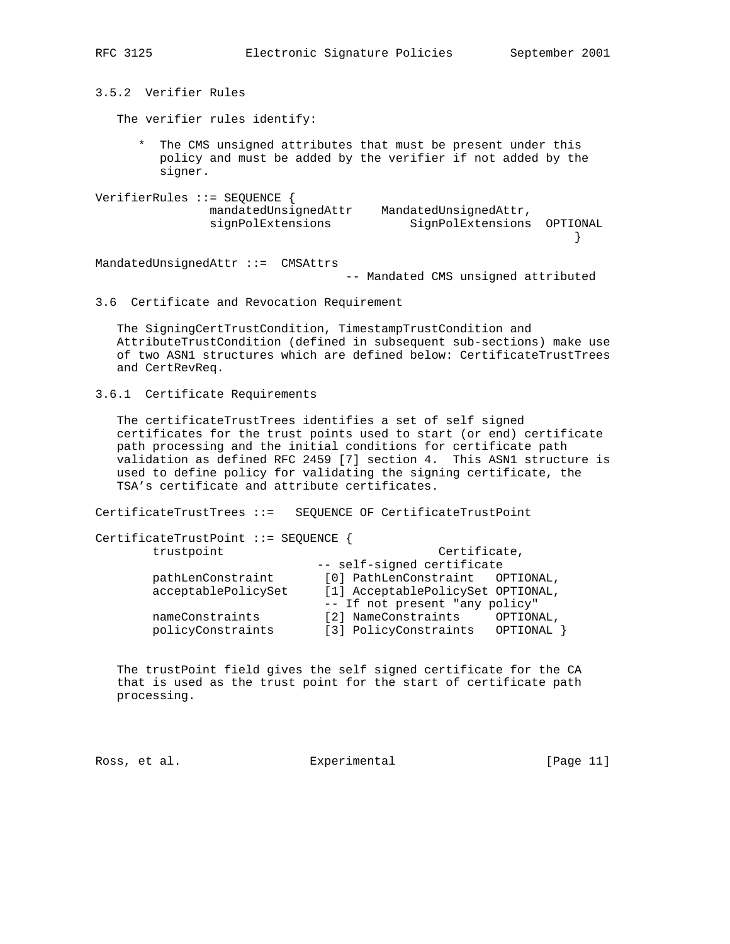3.5.2 Verifier Rules The verifier rules identify: \* The CMS unsigned attributes that must be present under this policy and must be added by the verifier if not added by the signer. VerifierRules ::= SEQUENCE { mandatedUnsignedAttr MandatedUnsignedAttr, signPolExtensions SignPolExtensions OPTIONAL } MandatedUnsignedAttr ::= CMSAttrs -- Mandated CMS unsigned attributed

## 3.6 Certificate and Revocation Requirement

 The SigningCertTrustCondition, TimestampTrustCondition and AttributeTrustCondition (defined in subsequent sub-sections) make use of two ASN1 structures which are defined below: CertificateTrustTrees and CertRevReq.

3.6.1 Certificate Requirements

 The certificateTrustTrees identifies a set of self signed certificates for the trust points used to start (or end) certificate path processing and the initial conditions for certificate path validation as defined RFC 2459 [7] section 4. This ASN1 structure is used to define policy for validating the signing certificate, the TSA's certificate and attribute certificates.

CertificateTrustTrees ::= SEQUENCE OF CertificateTrustPoint

| CertificateTrustPoint ::= SEQUENCE { |  |  |  |
|--------------------------------------|--|--|--|
|--------------------------------------|--|--|--|

| trustpoint          | Certificate,                      |           |  |
|---------------------|-----------------------------------|-----------|--|
|                     | -- self-signed certificate        |           |  |
| pathLenConstraint   | [0] PathLenConstraint OPTIONAL,   |           |  |
| acceptablePolicySet | [1] AcceptablePolicySet OPTIONAL, |           |  |
|                     | -- If not present "any policy"    |           |  |
| nameConstraints     | [2] NameConstraints               | OPTIONAL, |  |
| policyConstraints   | [3] PolicyConstraints             | OPTIONAL  |  |
|                     |                                   |           |  |

 The trustPoint field gives the self signed certificate for the CA that is used as the trust point for the start of certificate path processing.

Ross, et al. Experimental [Page 11]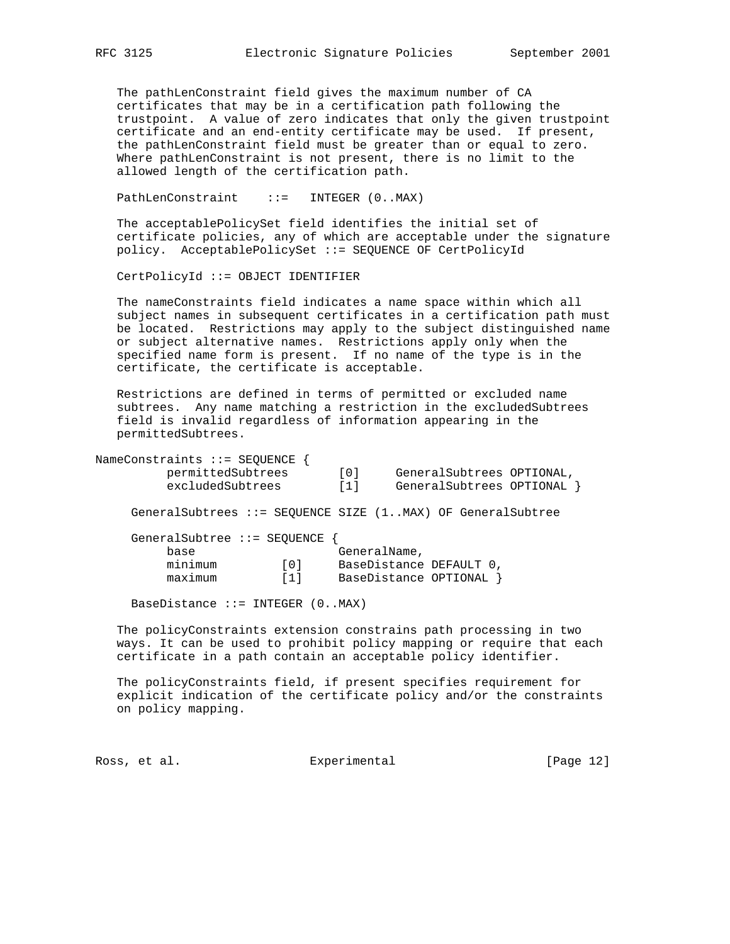The pathLenConstraint field gives the maximum number of CA certificates that may be in a certification path following the trustpoint. A value of zero indicates that only the given trustpoint certificate and an end-entity certificate may be used. If present, the pathLenConstraint field must be greater than or equal to zero. Where pathLenConstraint is not present, there is no limit to the allowed length of the certification path.

PathLenConstraint ::= INTEGER (0..MAX)

 The acceptablePolicySet field identifies the initial set of certificate policies, any of which are acceptable under the signature policy. AcceptablePolicySet ::= SEQUENCE OF CertPolicyId

CertPolicyId ::= OBJECT IDENTIFIER

 The nameConstraints field indicates a name space within which all subject names in subsequent certificates in a certification path must be located. Restrictions may apply to the subject distinguished name or subject alternative names. Restrictions apply only when the specified name form is present. If no name of the type is in the certificate, the certificate is acceptable.

 Restrictions are defined in terms of permitted or excluded name subtrees. Any name matching a restriction in the excludedSubtrees field is invalid regardless of information appearing in the permittedSubtrees.

| NameConstraints ::= SEQUENCE<br>permittedSubtrees<br>excludedSubtrees   | GeneralSubtrees OPTIONAL,<br>[0]<br>GeneralSubtrees OPTIONAL<br>[1] |
|-------------------------------------------------------------------------|---------------------------------------------------------------------|
|                                                                         | GeneralSubtrees ::= SEOUENCE SIZE (1MAX) OF GeneralSubtree          |
| GeneralSubtree ::= SEQUENCE<br>base<br>minimum<br>[0]<br>maximum<br>[1] | GeneralName,<br>BaseDistance DEFAULT 0,<br>BaseDistance OPTIONAL    |

BaseDistance  $::=$  INTEGER  $(0..MAX)$ 

 The policyConstraints extension constrains path processing in two ways. It can be used to prohibit policy mapping or require that each certificate in a path contain an acceptable policy identifier.

 The policyConstraints field, if present specifies requirement for explicit indication of the certificate policy and/or the constraints on policy mapping.

Ross, et al. Subsection Experimental Experimental [Page 12]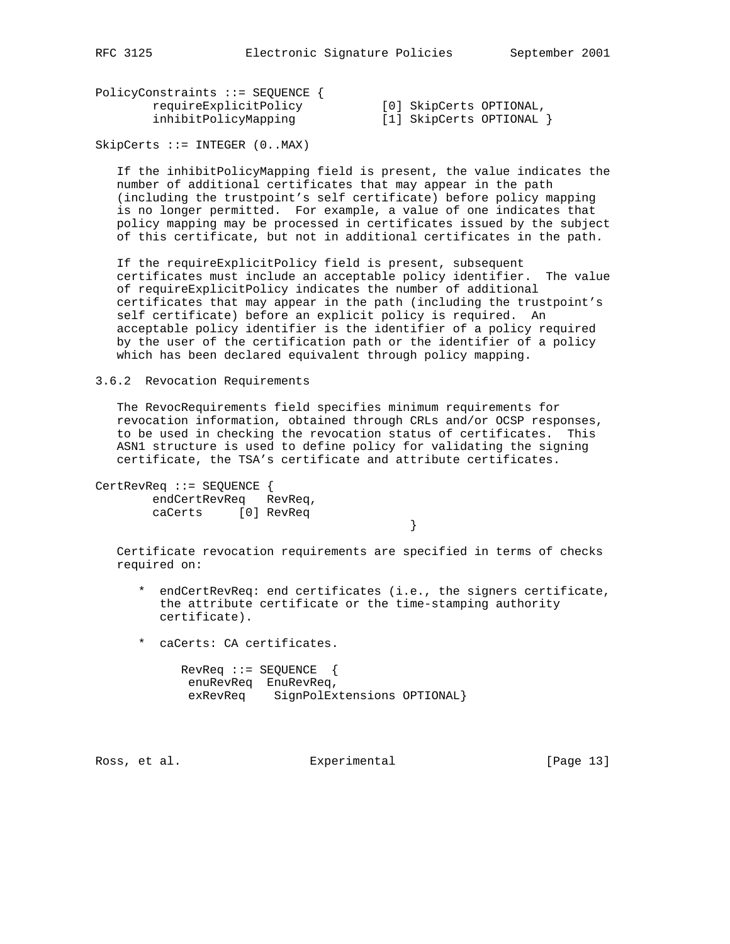PolicyConstraints ::= SEQUENCE { requireExplicitPolicy [0] SkipCerts OPTIONAL, inhibitPolicyMapping [1] SkipCerts OPTIONAL }

SkipCerts ::= INTEGER (0..MAX)

 If the inhibitPolicyMapping field is present, the value indicates the number of additional certificates that may appear in the path (including the trustpoint's self certificate) before policy mapping is no longer permitted. For example, a value of one indicates that policy mapping may be processed in certificates issued by the subject of this certificate, but not in additional certificates in the path.

 If the requireExplicitPolicy field is present, subsequent certificates must include an acceptable policy identifier. The value of requireExplicitPolicy indicates the number of additional certificates that may appear in the path (including the trustpoint's self certificate) before an explicit policy is required. An acceptable policy identifier is the identifier of a policy required by the user of the certification path or the identifier of a policy which has been declared equivalent through policy mapping.

3.6.2 Revocation Requirements

 The RevocRequirements field specifies minimum requirements for revocation information, obtained through CRLs and/or OCSP responses, to be used in checking the revocation status of certificates. This ASN1 structure is used to define policy for validating the signing certificate, the TSA's certificate and attribute certificates.

CertRevReq ::= SEQUENCE { endCertRevReq RevReq, caCerts [0] RevReq

 Certificate revocation requirements are specified in terms of checks required on:

- \* endCertRevReq: end certificates (i.e., the signers certificate, the attribute certificate or the time-stamping authority certificate).
- \* caCerts: CA certificates.

}

| $Rev$ Req $:=$ SEQUENCE |                             |  |
|-------------------------|-----------------------------|--|
|                         | enuRevReg EnuRevReg,        |  |
| exRevRea                | SignPolExtensions OPTIONAL} |  |

Ross, et al. Subsection Experimental Experimental [Page 13]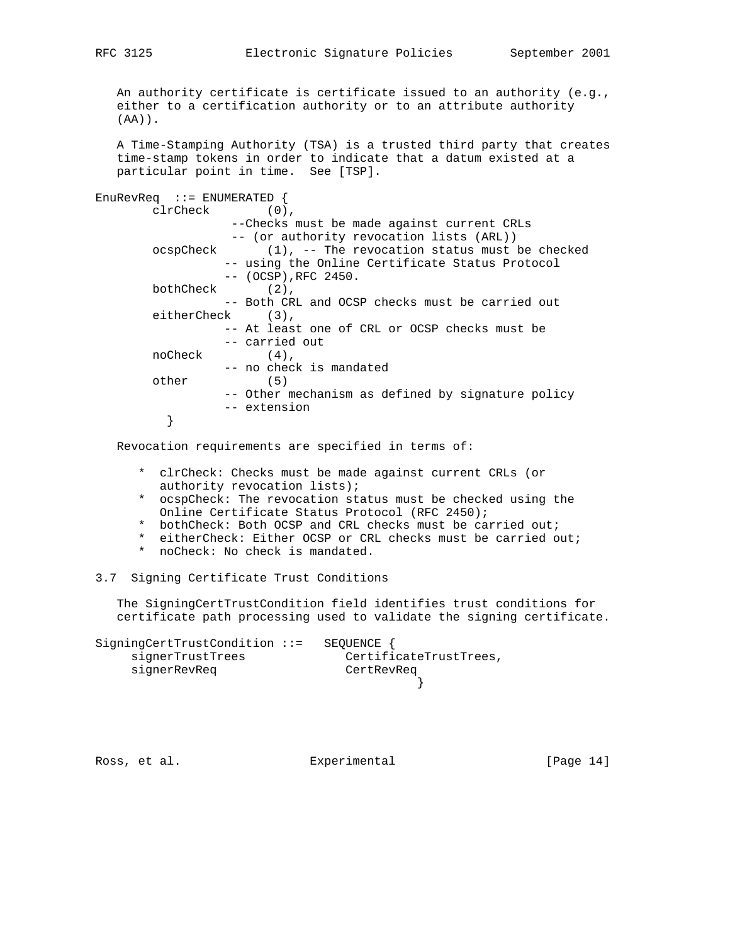An authority certificate is certificate issued to an authority (e.g., either to a certification authority or to an attribute authority (AA)).

 A Time-Stamping Authority (TSA) is a trusted third party that creates time-stamp tokens in order to indicate that a datum existed at a particular point in time. See [TSP].

EnuRevReq ::= ENUMERATED { clrCheck (0), --Checks must be made against current CRLs -- (or authority revocation lists (ARL)) ocspCheck (1), -- The revocation status must be checked -- using the Online Certificate Status Protocol -- (OCSP),RFC 2450. bothCheck (2), -- Both CRL and OCSP checks must be carried out eitherCheck (3), -- At least one of CRL or OCSP checks must be -- carried out noCheck (4), -- no check is mandated other (5) -- Other mechanism as defined by signature policy -- extension }

Revocation requirements are specified in terms of:

- \* clrCheck: Checks must be made against current CRLs (or authority revocation lists);
- \* ocspCheck: The revocation status must be checked using the Online Certificate Status Protocol (RFC 2450);
- \* bothCheck: Both OCSP and CRL checks must be carried out;
- \* eitherCheck: Either OCSP or CRL checks must be carried out;
- \* noCheck: No check is mandated.

3.7 Signing Certificate Trust Conditions

 The SigningCertTrustCondition field identifies trust conditions for certificate path processing used to validate the signing certificate.

SigningCertTrustCondition ::= SEQUENCE { signerTrustTrees CertificateTrustTrees, signerRevReq CertRevReq }

Ross, et al. Subsection Experimental Experimental [Page 14]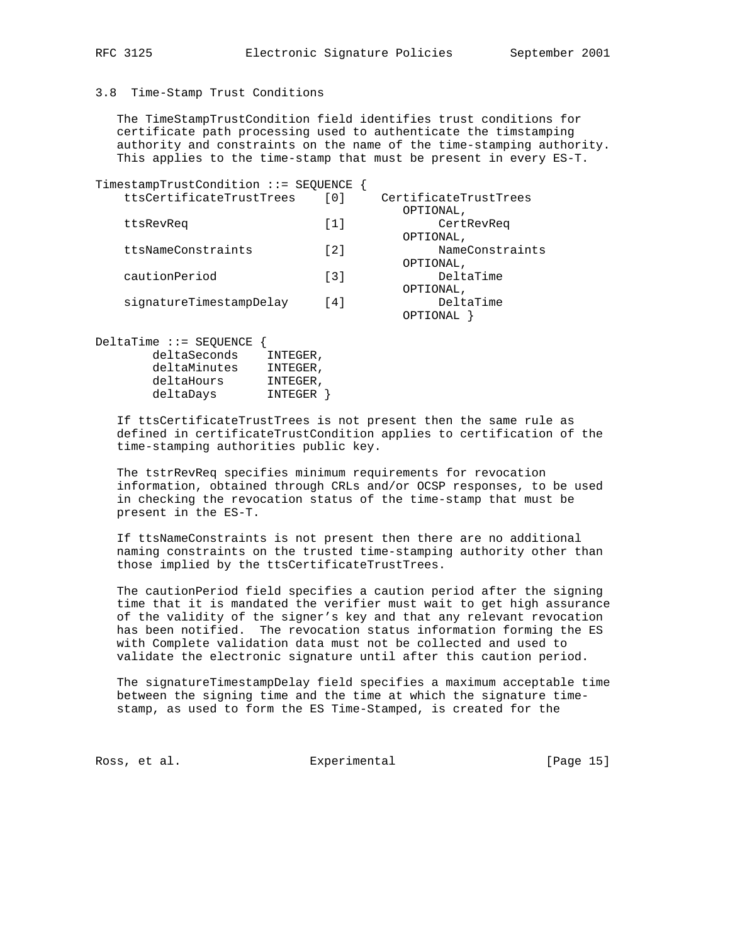#### 3.8 Time-Stamp Trust Conditions

 deltaMinutes INTEGER, deltaHours INTEGER, deltaDays INTEGER }

 The TimeStampTrustCondition field identifies trust conditions for certificate path processing used to authenticate the timstamping authority and constraints on the name of the time-stamping authority. This applies to the time-stamp that must be present in every ES-T.

| TimestampTrustCondition ::= SEQUENCE               |                   |                                      |
|----------------------------------------------------|-------------------|--------------------------------------|
| ttsCertificateTrustTrees                           | [0]               | CertificateTrustTrees                |
| ttsRevReg                                          | [1]               | OPTIONAL,<br>CertRevReg<br>OPTIONAL, |
| ttsNameConstraints                                 | $\lceil 2 \rceil$ | NameConstraints<br>OPTIONAL,         |
| cautionPeriod                                      | $\lceil 3 \rceil$ | DeltaTime<br>OPTIONAL,               |
| signatureTimestampDelay                            | $\lceil 4 \rceil$ | DeltaTime<br>OPTIONAL                |
| DeltaTime ::= SEOUENCE<br>deltaSeconds<br>INTEGER, |                   |                                      |

 If ttsCertificateTrustTrees is not present then the same rule as defined in certificateTrustCondition applies to certification of the time-stamping authorities public key.

 The tstrRevReq specifies minimum requirements for revocation information, obtained through CRLs and/or OCSP responses, to be used in checking the revocation status of the time-stamp that must be present in the ES-T.

 If ttsNameConstraints is not present then there are no additional naming constraints on the trusted time-stamping authority other than those implied by the ttsCertificateTrustTrees.

 The cautionPeriod field specifies a caution period after the signing time that it is mandated the verifier must wait to get high assurance of the validity of the signer's key and that any relevant revocation has been notified. The revocation status information forming the ES with Complete validation data must not be collected and used to validate the electronic signature until after this caution period.

 The signatureTimestampDelay field specifies a maximum acceptable time between the signing time and the time at which the signature time stamp, as used to form the ES Time-Stamped, is created for the

Ross, et al. Subsection Experimental Experimental [Page 15]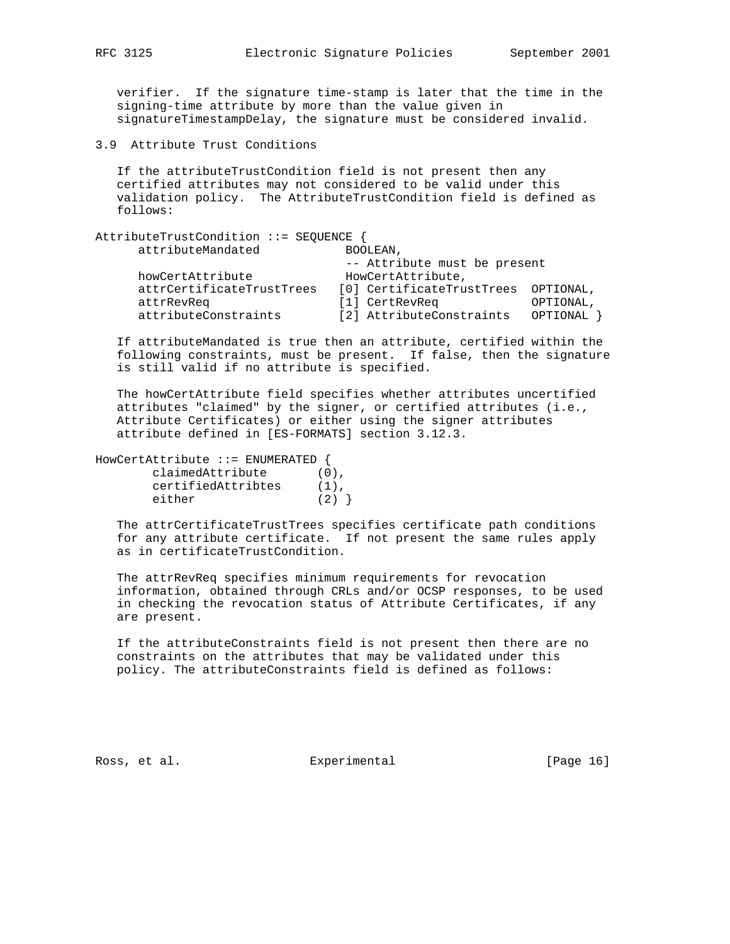verifier. If the signature time-stamp is later that the time in the signing-time attribute by more than the value given in signatureTimestampDelay, the signature must be considered invalid.

3.9 Attribute Trust Conditions

 If the attributeTrustCondition field is not present then any certified attributes may not considered to be valid under this validation policy. The AttributeTrustCondition field is defined as follows:

| AttributeTrustCondition ::= SEQUENCE |                              |           |
|--------------------------------------|------------------------------|-----------|
| attributeMandated                    | BOOLEAN,                     |           |
|                                      | -- Attribute must be present |           |
| howCertAttribute                     | HowCertAttribute,            |           |
| attrCertificateTrustTrees            | [0] CertificateTrustTrees    | OPTIONAL, |
| attrRevReq                           | [1] CertRevReq               | OPTIONAL, |
| attributeConstraints                 | [2] AttributeConstraints     | OPTIONAL  |

 If attributeMandated is true then an attribute, certified within the following constraints, must be present. If false, then the signature is still valid if no attribute is specified.

 The howCertAttribute field specifies whether attributes uncertified attributes "claimed" by the signer, or certified attributes (i.e., Attribute Certificates) or either using the signer attributes attribute defined in [ES-FORMATS] section 3.12.3.

| HowCertAttribute ::= ENUMERATED { |         |
|-----------------------------------|---------|
| claimedAttribute                  | (0).    |
| certifiedAttribtes                | $(1)$ . |

either  $(2)$  }

 The attrCertificateTrustTrees specifies certificate path conditions for any attribute certificate. If not present the same rules apply as in certificateTrustCondition.

 The attrRevReq specifies minimum requirements for revocation information, obtained through CRLs and/or OCSP responses, to be used in checking the revocation status of Attribute Certificates, if any are present.

 If the attributeConstraints field is not present then there are no constraints on the attributes that may be validated under this policy. The attributeConstraints field is defined as follows:

Ross, et al. Subsection Experimental Ross, et al. (Page 16)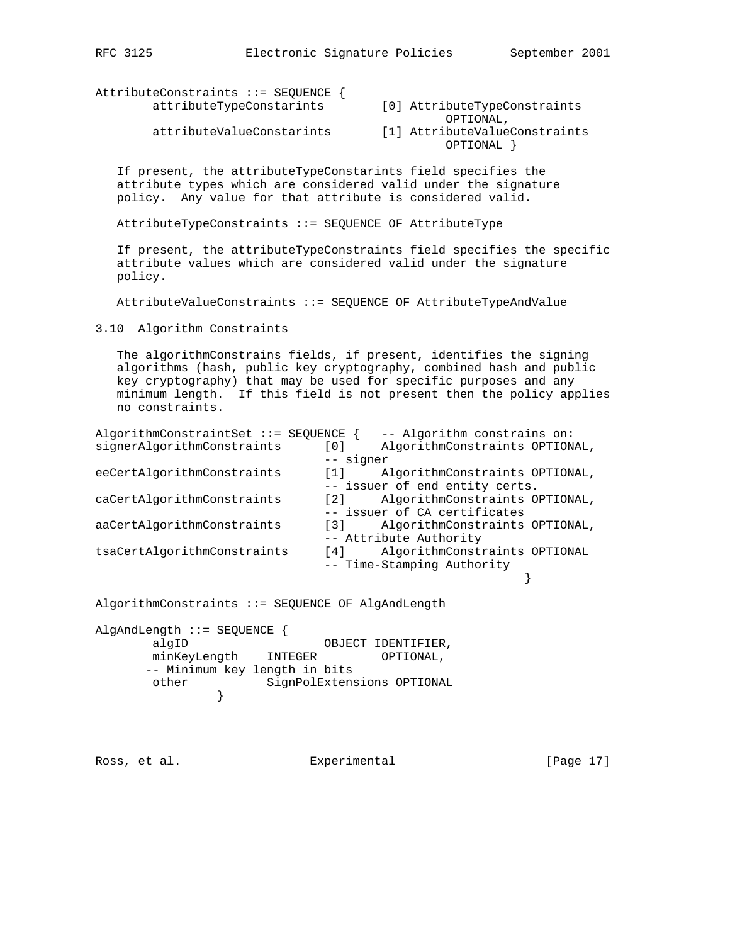AttributeConstraints ::= SEQUENCE { econstraints ... SEQUENCE {<br>attributeTypeConstarints [0] AttributeTypeConstraints

OPTIONAL,

 attributeValueConstarints [1] AttributeValueConstraints OPTIONAL }

 If present, the attributeTypeConstarints field specifies the attribute types which are considered valid under the signature policy. Any value for that attribute is considered valid.

AttributeTypeConstraints ::= SEQUENCE OF AttributeType

 If present, the attributeTypeConstraints field specifies the specific attribute values which are considered valid under the signature policy.

AttributeValueConstraints ::= SEQUENCE OF AttributeTypeAndValue

3.10 Algorithm Constraints

 The algorithmConstrains fields, if present, identifies the signing algorithms (hash, public key cryptography, combined hash and public key cryptography) that may be used for specific purposes and any minimum length. If this field is not present then the policy applies no constraints.

| AlgorithmConstraintSet ::= SEQUENCE |                                | -- Algorithm constrains on:    |  |  |
|-------------------------------------|--------------------------------|--------------------------------|--|--|
| signerAlgorithmConstraints          | [0]                            | AlgorithmConstraints OPTIONAL, |  |  |
| -- signer                           |                                |                                |  |  |
| eeCertAlgorithmConstraints          | $\lceil 1 \rceil$              | AlgorithmConstraints OPTIONAL, |  |  |
|                                     | -- issuer of end entity certs. |                                |  |  |
| caCertAlgorithmConstraints          | $\lceil 2 \rceil$              | AlgorithmConstraints OPTIONAL, |  |  |
|                                     | -- issuer of CA certificates   |                                |  |  |
| aaCertAlgorithmConstraints          | $\lceil 3 \rceil$              | AlgorithmConstraints OPTIONAL, |  |  |
|                                     |                                | -- Attribute Authority         |  |  |
| tsaCertAlgorithmConstraints         | $\lceil 4 \rceil$              | AlgorithmConstraints OPTIONAL  |  |  |
|                                     |                                | -- Time-Stamping Authority     |  |  |
|                                     |                                |                                |  |  |

AlgorithmConstraints ::= SEQUENCE OF AlgAndLength

AlgAndLength ::= SEQUENCE { algID OBJECT IDENTIFIER, minKeyLength INTEGER OPTIONAL, -- Minimum key length in bits other SignPolExtensions OPTIONAL }

Ross, et al. Subsection Experimental Experimental [Page 17]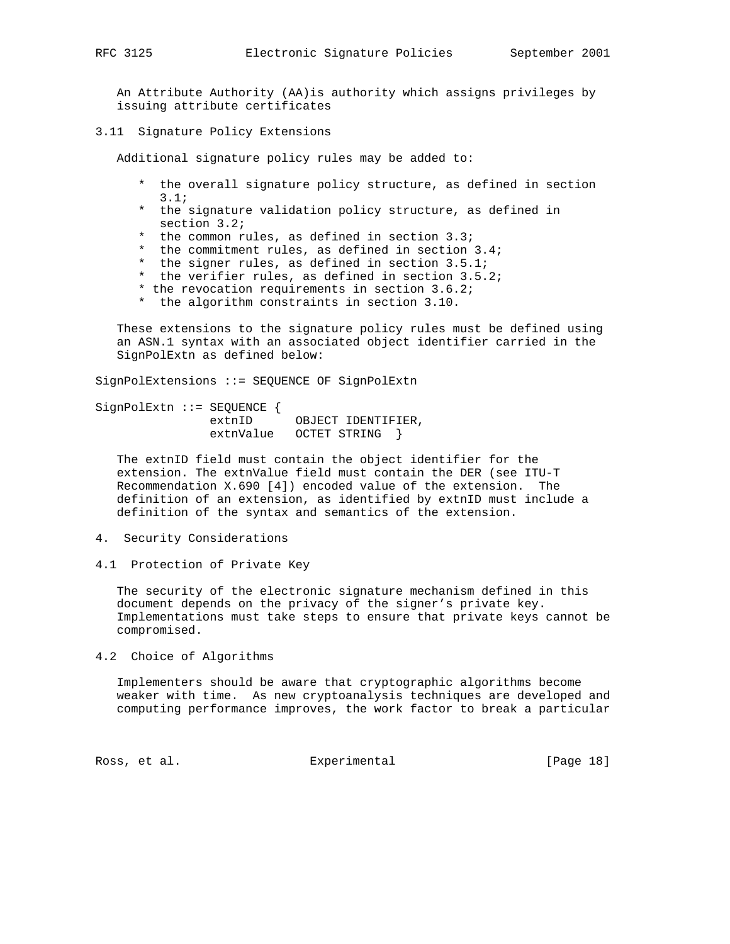An Attribute Authority (AA)is authority which assigns privileges by issuing attribute certificates

3.11 Signature Policy Extensions

Additional signature policy rules may be added to:

- \* the overall signature policy structure, as defined in section 3.1;
- \* the signature validation policy structure, as defined in section 3.2;
- \* the common rules, as defined in section 3.3;
- \* the commitment rules, as defined in section 3.4;
- \* the signer rules, as defined in section 3.5.1;
- the verifier rules, as defined in section  $3.5.2i$
- \* the revocation requirements in section 3.6.2;
- \* the algorithm constraints in section 3.10.

 These extensions to the signature policy rules must be defined using an ASN.1 syntax with an associated object identifier carried in the SignPolExtn as defined below:

SignPolExtensions ::= SEQUENCE OF SignPolExtn

SignPolExtn ::= SEQUENCE { extnID OBJECT IDENTIFIER, extnValue OCTET STRING }

 The extnID field must contain the object identifier for the extension. The extnValue field must contain the DER (see ITU-T Recommendation X.690 [4]) encoded value of the extension. The definition of an extension, as identified by extnID must include a definition of the syntax and semantics of the extension.

- 4. Security Considerations
- 4.1 Protection of Private Key

 The security of the electronic signature mechanism defined in this document depends on the privacy of the signer's private key. Implementations must take steps to ensure that private keys cannot be compromised.

4.2 Choice of Algorithms

 Implementers should be aware that cryptographic algorithms become weaker with time. As new cryptoanalysis techniques are developed and computing performance improves, the work factor to break a particular

Ross, et al. Subsection Experimental Experimental [Page 18]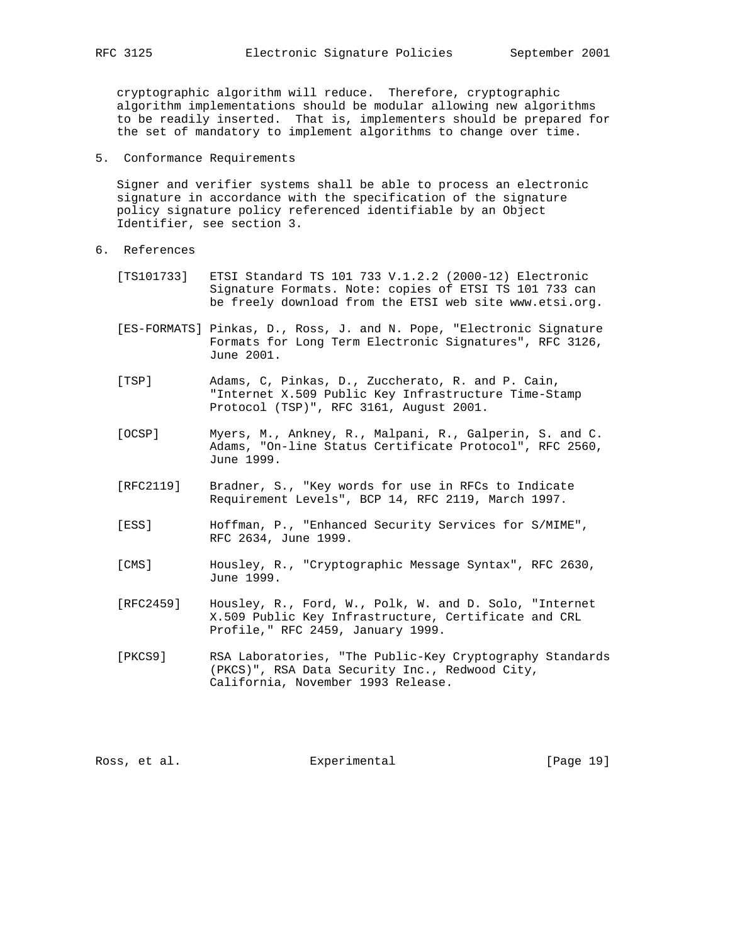cryptographic algorithm will reduce. Therefore, cryptographic algorithm implementations should be modular allowing new algorithms to be readily inserted. That is, implementers should be prepared for the set of mandatory to implement algorithms to change over time.

5. Conformance Requirements

 Signer and verifier systems shall be able to process an electronic signature in accordance with the specification of the signature policy signature policy referenced identifiable by an Object Identifier, see section 3.

- 6. References
	- [TS101733] ETSI Standard TS 101 733 V.1.2.2 (2000-12) Electronic Signature Formats. Note: copies of ETSI TS 101 733 can be freely download from the ETSI web site www.etsi.org.
	- [ES-FORMATS] Pinkas, D., Ross, J. and N. Pope, "Electronic Signature Formats for Long Term Electronic Signatures", RFC 3126, June 2001.
	- [TSP] Adams, C, Pinkas, D., Zuccherato, R. and P. Cain, "Internet X.509 Public Key Infrastructure Time-Stamp Protocol (TSP)", RFC 3161, August 2001.
	- [OCSP] Myers, M., Ankney, R., Malpani, R., Galperin, S. and C. Adams, "On-line Status Certificate Protocol", RFC 2560, June 1999.
	- [RFC2119] Bradner, S., "Key words for use in RFCs to Indicate Requirement Levels", BCP 14, RFC 2119, March 1997.
	- [ESS] Hoffman, P., "Enhanced Security Services for S/MIME", RFC 2634, June 1999.
	- [CMS] Housley, R., "Cryptographic Message Syntax", RFC 2630, June 1999.
	- [RFC2459] Housley, R., Ford, W., Polk, W. and D. Solo, "Internet X.509 Public Key Infrastructure, Certificate and CRL Profile," RFC 2459, January 1999.
	- [PKCS9] RSA Laboratories, "The Public-Key Cryptography Standards (PKCS)", RSA Data Security Inc., Redwood City, California, November 1993 Release.

Ross, et al. Experimental [Page 19]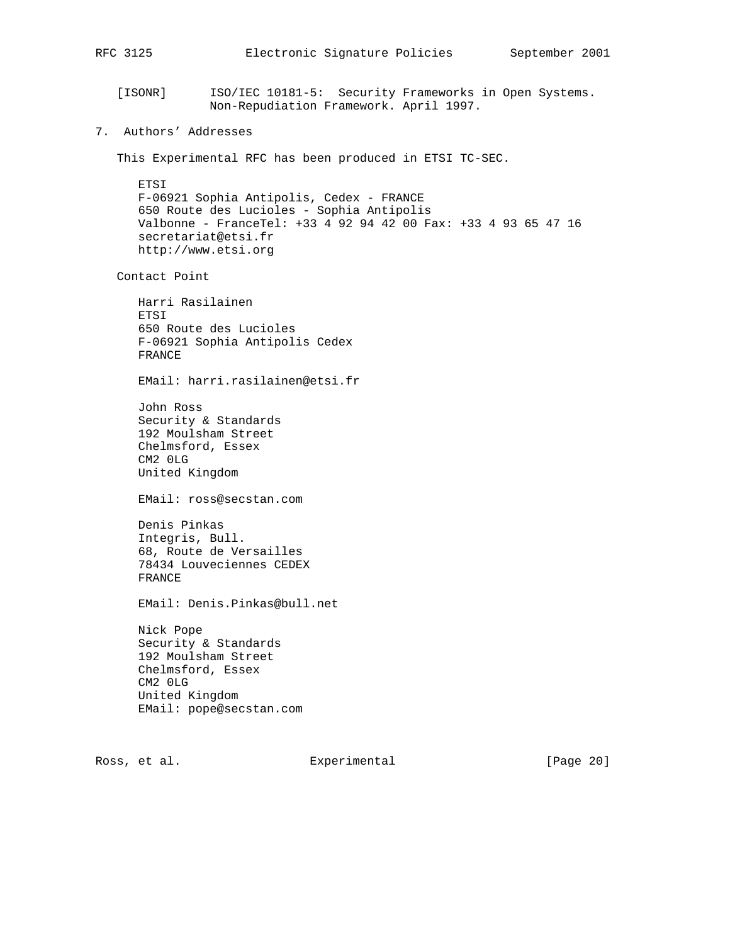```
RFC 3125 Electronic Signature Policies September 2001
    [ISONR] ISO/IEC 10181-5: Security Frameworks in Open Systems.
                 Non-Repudiation Framework. April 1997.
7. Authors' Addresses
    This Experimental RFC has been produced in ETSI TC-SEC.
       ETSI
      F-06921 Sophia Antipolis, Cedex - FRANCE
       650 Route des Lucioles - Sophia Antipolis
       Valbonne - FranceTel: +33 4 92 94 42 00 Fax: +33 4 93 65 47 16
       secretariat@etsi.fr
      http://www.etsi.org
    Contact Point
       Harri Rasilainen
       ETSI
       650 Route des Lucioles
       F-06921 Sophia Antipolis Cedex
       FRANCE
       EMail: harri.rasilainen@etsi.fr
       John Ross
       Security & Standards
       192 Moulsham Street
       Chelmsford, Essex
       CM2 0LG
       United Kingdom
       EMail: ross@secstan.com
       Denis Pinkas
       Integris, Bull.
       68, Route de Versailles
       78434 Louveciennes CEDEX
       FRANCE
       EMail: Denis.Pinkas@bull.net
      Nick Pope
       Security & Standards
       192 Moulsham Street
       Chelmsford, Essex
       CM2 0LG
       United Kingdom
       EMail: pope@secstan.com
```
Ross, et al. Experimental [Page 20]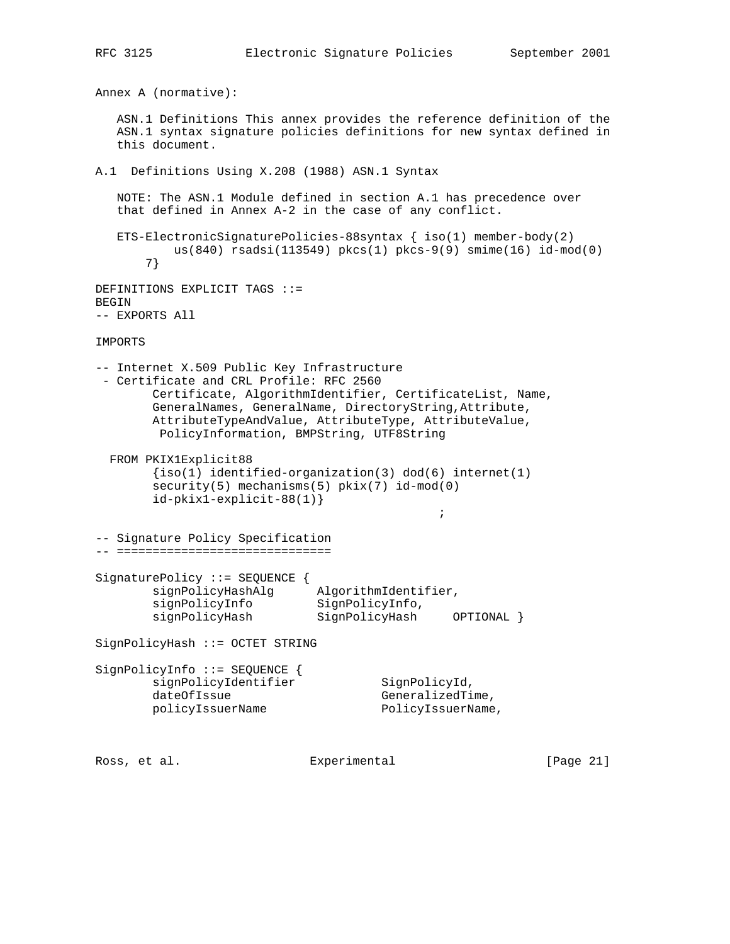```
RFC 3125 Electronic Signature Policies September 2001
Annex A (normative):
   ASN.1 Definitions This annex provides the reference definition of the
   ASN.1 syntax signature policies definitions for new syntax defined in
   this document.
A.1 Definitions Using X.208 (1988) ASN.1 Syntax
   NOTE: The ASN.1 Module defined in section A.1 has precedence over
   that defined in Annex A-2 in the case of any conflict.
  ETS-ElectronicSignaturePolicies-88syntax \{ iso(1) member-body(2)
          us(840) rsadsi(113549) pkcs(1) pkcs-9(9) smime(16) id-mod(0)
       7}
DEFINITIONS EXPLICIT TAGS ::=
BEGIN
-- EXPORTS All
IMPORTS
-- Internet X.509 Public Key Infrastructure
 - Certificate and CRL Profile: RFC 2560
        Certificate, AlgorithmIdentifier, CertificateList, Name,
        GeneralNames, GeneralName, DirectoryString,Attribute,
        AttributeTypeAndValue, AttributeType, AttributeValue,
         PolicyInformation, BMPString, UTF8String
  FROM PKIX1Explicit88
       {iso(1)} identified-organization(3) dod(6) internet(1)
        security(5) mechanisms(5) pkix(7) id-mod(0)
        id-pkix1-explicit-88(1)}
\mathcal{L}^{\text{max}}-- Signature Policy Specification
-- ==============================
SignaturePolicy ::= SEQUENCE {
 signPolicyHashAlg AlgorithmIdentifier,
signPolicyInfo SignPolicyInfo,
 signPolicyHash SignPolicyHash OPTIONAL }
SignPolicyHash ::= OCTET STRING
SignPolicyInfo ::= SEQUENCE {
signPolicyIdentifier SignPolicyId,
dateOfIssue GeneralizedTime,
       policyIssuerName PolicyIssuerName,
Ross, et al. Subsection Experimental Experimental [Page 21]
```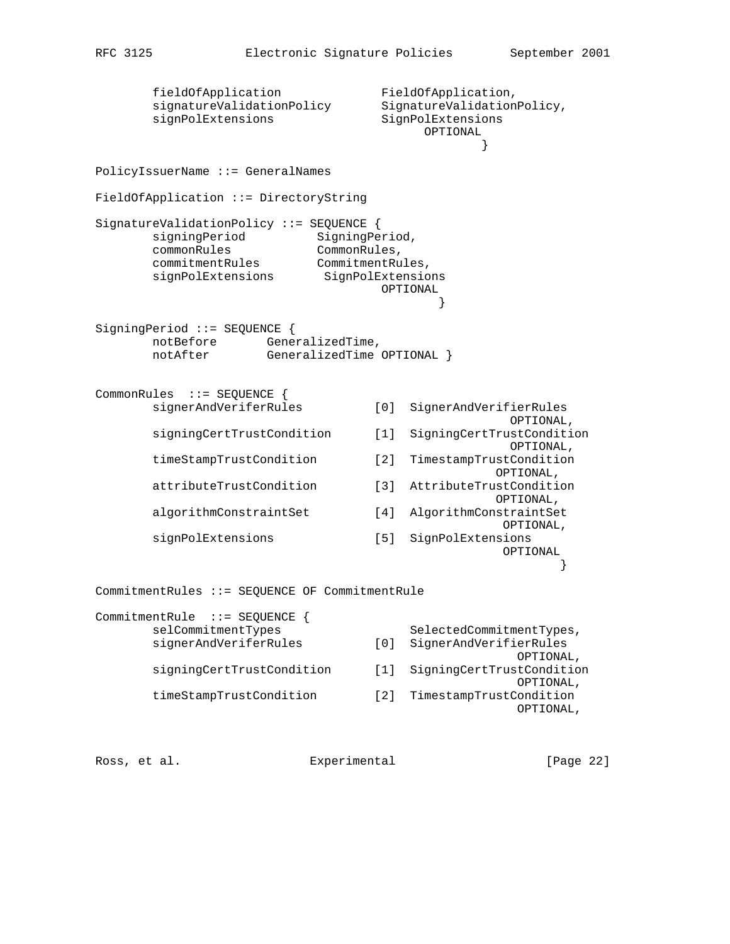```
fieldOfApplication FieldOfApplication,
      signatureValidationPolicy SignatureValidationPolicy,
      signPolExtensions SignPolExtensions
                                       OPTIONAL
 }
PolicyIssuerName ::= GeneralNames
FieldOfApplication ::= DirectoryString
SignatureValidationPolicy ::= SEQUENCE {
      signingPeriod SigningPeriod,
      commonRules CommonRules,<br>commitmentRules CommitmentRu
                        CommitmentRules,
      signPolExtensions SignPolExtensions
                                  OPTIONAL
 }
SigningPeriod ::= SEQUENCE {
      notBefore GeneralizedTime,<br>notAfter GeneralizedTime
                 GeneralizedTime OPTIONAL }
CommonRules ::= SEQUENCE {
       signerAndVeriferRules [0] SignerAndVerifierRules
                                                 OPTIONAL,
       signingCertTrustCondition [1] SigningCertTrustCondition
                                                 OPTIONAL,
       timeStampTrustCondition [2] TimestampTrustCondition
                                               OPTIONAL,
       attributeTrustCondition [3] AttributeTrustCondition
                                               OPTIONAL,
       algorithmConstraintSet [4] AlgorithmConstraintSet
                                                OPTIONAL,
       signPolExtensions [5] SignPolExtensions
                                                OPTIONAL
 }
CommitmentRules ::= SEQUENCE OF CommitmentRule
CommitmentRule ::= SEQUENCE {
      selCommitmentTypes SelectedCommitmentTypes,
       signerAndVeriferRules [0] SignerAndVerifierRules
                                                  OPTIONAL,
       signingCertTrustCondition [1] SigningCertTrustCondition
                                                  OPTIONAL,
       timeStampTrustCondition [2] TimestampTrustCondition
                                                  OPTIONAL,
```

| Ross, et al. |  | Experimental | [Page 22] |  |
|--------------|--|--------------|-----------|--|
|              |  |              |           |  |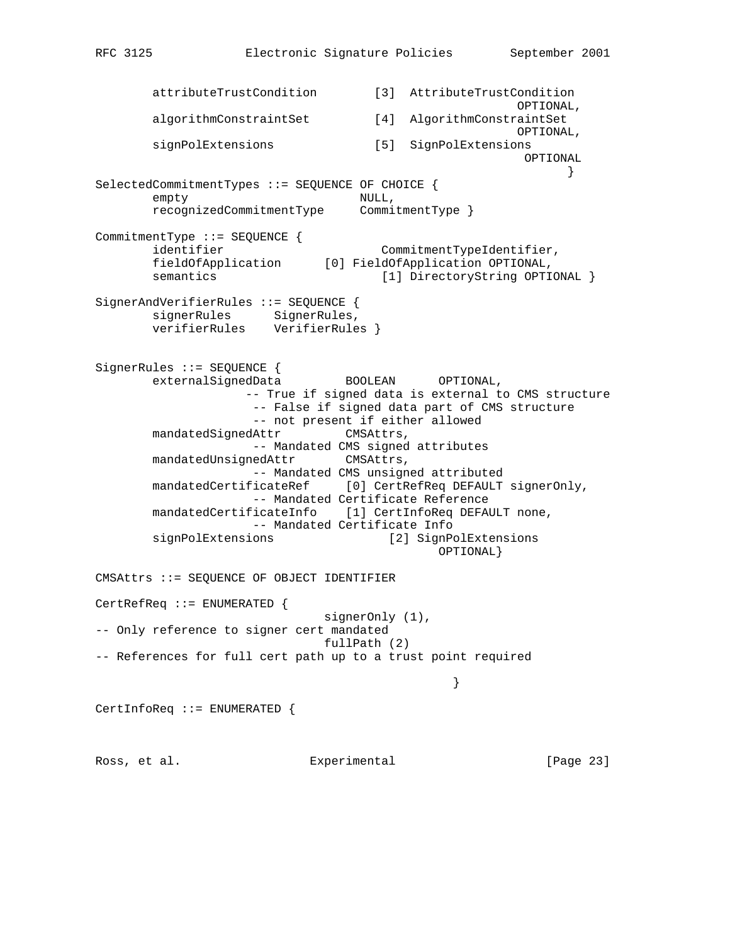attributeTrustCondition [3] AttributeTrustCondition OPTIONAL, algorithmConstraintSet [4] AlgorithmConstraintSet OPTIONAL, signPolExtensions [5] SignPolExtensions OPTIONAL } SelectedCommitmentTypes ::= SEQUENCE OF CHOICE { empty NULL, recognizedCommitmentType CommitmentType } CommitmentType ::= SEQUENCE { identifier commitmentTypeIdentifier, fieldOfApplication [0] FieldOfApplication OPTIONAL, semantics [1] DirectoryString OPTIONAL } SignerAndVerifierRules ::= SEQUENCE { signerRules SignerRules, verifierRules VerifierRules } SignerRules ::= SEQUENCE { externalSignedData BOOLEAN OPTIONAL, -- True if signed data is external to CMS structure -- False if signed data part of CMS structure -- not present if either allowed mandatedSignedAttr CMSAttrs, -- Mandated CMS signed attributes mandatedUnsignedAttr CMSAttrs, -- Mandated CMS unsigned attributed mandatedCertificateRef [0] CertRefReq DEFAULT signerOnly, -- Mandated Certificate Reference mandatedCertificateInfo [1] CertInfoReq DEFAULT none, -- Mandated Certificate Info signPolExtensions [2] SignPolExtensions OPTIONAL} CMSAttrs ::= SEQUENCE OF OBJECT IDENTIFIER CertRefReq ::= ENUMERATED { signerOnly (1), -- Only reference to signer cert mandated fullPath (2) -- References for full cert path up to a trust point required } CertInfoReq ::= ENUMERATED { Ross, et al. Experimental [Page 23]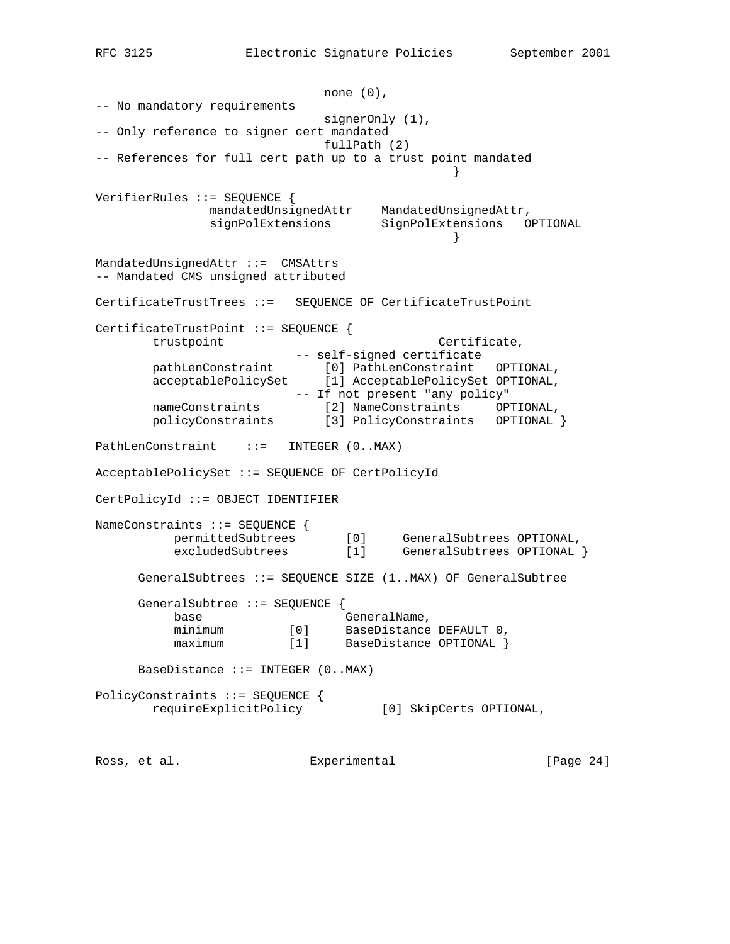none (0), -- No mandatory requirements signerOnly (1), -- Only reference to signer cert mandated fullPath (2) -- References for full cert path up to a trust point mandated } VerifierRules ::= SEQUENCE { mandatedUnsignedAttr MandatedUnsignedAttr, signPolExtensions SignPolExtensions OPTIONAL } MandatedUnsignedAttr ::= CMSAttrs -- Mandated CMS unsigned attributed CertificateTrustTrees ::= SEQUENCE OF CertificateTrustPoint CertificateTrustPoint ::= SEQUENCE { trustpoint Certificate, -- self-signed certificate pathLenConstraint [0] PathLenConstraint OPTIONAL, acceptablePolicySet [1] AcceptablePolicySet OPTIONAL, -- If not present "any policy" nameConstraints [2] NameConstraints OPTIONAL, policyConstraints [3] PolicyConstraints OPTIONAL } PathLenConstraint ::= INTEGER (0..MAX) AcceptablePolicySet ::= SEQUENCE OF CertPolicyId CertPolicyId ::= OBJECT IDENTIFIER NameConstraints ::= SEQUENCE { permittedSubtrees [0] GeneralSubtrees OPTIONAL, excludedSubtrees [1] GeneralSubtrees OPTIONAL } GeneralSubtrees ::= SEQUENCE SIZE (1..MAX) OF GeneralSubtree GeneralSubtree ::= SEQUENCE { base GeneralName,<br>minimum [0] BaseDistance [0] BaseDistance DEFAULT 0,<br>[1] BaseDistance OPTIONAL } maximum [1] BaseDistance OPTIONAL } BaseDistance  $::=$  INTEGER  $(0..MAX)$ PolicyConstraints ::= SEQUENCE { requireExplicitPolicy [0] SkipCerts OPTIONAL,

Ross, et al. Subsection Experimental Experimental [Page 24]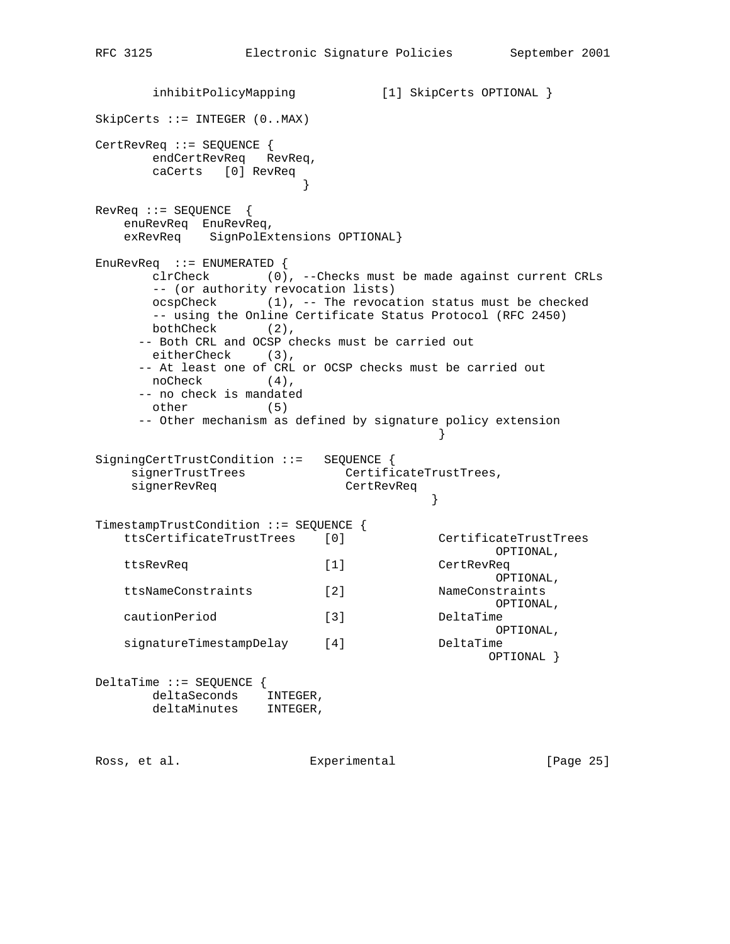```
 inhibitPolicyMapping [1] SkipCerts OPTIONAL }
SkipCerts ::= INTEGER (0..MAX)
CertRevReq ::= SEQUENCE {
      endCertRevReq RevReq,
      caCerts [0] RevReq
 }
RevReq ::= SEQUENCE {
   enuRevReq EnuRevReq,
    exRevReq SignPolExtensions OPTIONAL}
EnuRevReq ::= ENUMERATED {
      clrCheck (0), --Checks must be made against current CRLs
      -- (or authority revocation lists)
      ocspCheck (1), -- The revocation status must be checked
      -- using the Online Certificate Status Protocol (RFC 2450)
      bothCheck (2),
     -- Both CRL and OCSP checks must be carried out
      eitherCheck (3),
     -- At least one of CRL or OCSP checks must be carried out
      noCheck (4),
     -- no check is mandated
      other (5)
     -- Other mechanism as defined by signature policy extension
 }
SigningCertTrustCondition ::= SEQUENCE {
   signerTrustTrees CertificateTrustTrees,
    signerRevReq CertRevReq
 }
TimestampTrustCondition ::= SEQUENCE {
 ttsCertificateTrustTrees [0] CertificateTrustTrees
                                          OPTIONAL,
    ttsRevReq [1] CertRevReq
                       , OPTIONAL<br>[2] NameConstraints
    ttsNameConstraints [2] NameConstraints
                                   OPTIONAL,<br>DeltaTime
   cautionPeriod [3] DeltaTime DeltaTime DeltaTime OPTIONAL
 OPTIONAL,
 signatureTimestampDelay [4] DeltaTime
 OPTIONAL }
DeltaTime ::= SEQUENCE {
 deltaSeconds INTEGER,
 deltaMinutes INTEGER,
```
Ross, et al. Subsection Experimental Experimental [Page 25]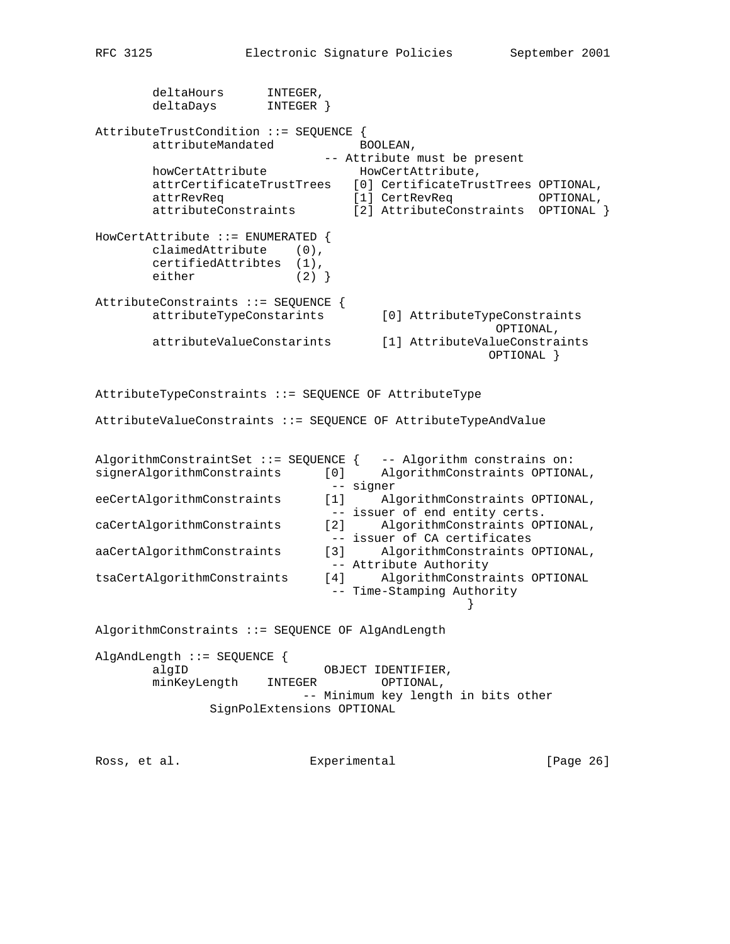```
 deltaHours INTEGER,
 deltaDays INTEGER }
AttributeTrustCondition ::= SEQUENCE {
      attributeMandated BOOLEAN,
                            -- Attribute must be present
      howCertAttribute HowCertAttribute HowCertAttribute,
       attrCertificateTrustTrees [0] CertificateTrustTrees OPTIONAL,
 attrRevReq [1] CertRevReq OPTIONAL,
 attributeConstraints [2] AttributeConstraints OPTIONAL }
HowCertAttribute ::= ENUMERATED {
       claimedAttribute (0),
       certifiedAttribtes (1),
      either (2) }
AttributeConstraints ::= SEQUENCE {
       attributeTypeConstarints [0] AttributeTypeConstraints
                                                 OPTIONAL,
       attributeValueConstarints [1] AttributeValueConstraints
                                                OPTIONAL }
AttributeTypeConstraints ::= SEQUENCE OF AttributeType
AttributeValueConstraints ::= SEQUENCE OF AttributeTypeAndValue
AlgorithmConstraintSet ::= SEQUENCE { -- Algorithm constrains on:
signerAlgorithmConstraints [0] AlgorithmConstraints OPTIONAL,
                             -- signer
eeCertAlgorithmConstraints [1] AlgorithmConstraints OPTIONAL,
                             -- issuer of end entity certs.
caCertAlgorithmConstraints [2] AlgorithmConstraints OPTIONAL,
                             -- issuer of CA certificates
aaCertAlgorithmConstraints [3] AlgorithmConstraints OPTIONAL,
-- Attribute Authority<br>tsaCertAlgorithmConstraints [4] AlgorithmConstra
                          [4] AlgorithmConstraints OPTIONAL
                             -- Time-Stamping Authority
 }
AlgorithmConstraints ::= SEQUENCE OF AlgAndLength
AlgAndLength ::= SEQUENCE {
      algID OBJECT IDENTIFIER,
       minKeyLength INTEGER OPTIONAL,
                         -- Minimum key length in bits other
              SignPolExtensions OPTIONAL
Ross, et al. Experimental [Page 26]
```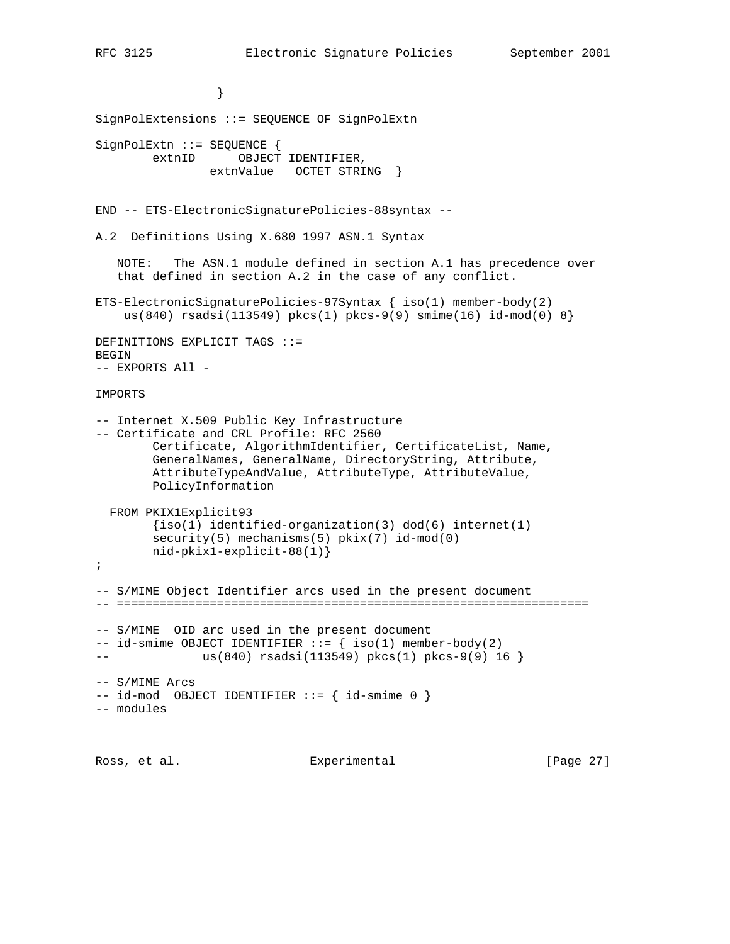```
 }
SignPolExtensions ::= SEQUENCE OF SignPolExtn
SignPolExtn ::= SEQUENCE {
       extnID OBJECT IDENTIFIER,
                extnValue OCTET STRING }
END -- ETS-ElectronicSignaturePolicies-88syntax --
A.2 Definitions Using X.680 1997 ASN.1 Syntax
   NOTE: The ASN.1 module defined in section A.1 has precedence over
    that defined in section A.2 in the case of any conflict.
ETS-ElectronicSignaturePolicies-97Syntax { iso(1) member-body(2)
   us(840) rsadsi(113549) pkcs(1) pkcs-9(9) smime(16) id-mod(0) 8}
DEFINITIONS EXPLICIT TAGS ::=
BEGIN
-- EXPORTS All -
IMPORTS
-- Internet X.509 Public Key Infrastructure
-- Certificate and CRL Profile: RFC 2560
        Certificate, AlgorithmIdentifier, CertificateList, Name,
        GeneralNames, GeneralName, DirectoryString, Attribute,
        AttributeTypeAndValue, AttributeType, AttributeValue,
        PolicyInformation
  FROM PKIX1Explicit93
       {iso(1)} identified-organization(3) dod(6) internet(1)
        security(5) mechanisms(5) pkix(7) id-mod(0)
        nid-pkix1-explicit-88(1)}
;
-- S/MIME Object Identifier arcs used in the present document
-- ==================================================================
-- S/MIME OID arc used in the present document
-- id-smime OBJECT IDENTIFIER ::= { iso(1) member-body(2)
-- 	 us(840) rsadsi(113549) pkcs(1) pkcs-9(9) 16 }
-- S/MIME Arcs
-- id-mod OBJECT IDENTIFIER ::= { id-smime 0 }
-- modules
Ross, et al. Subsection Experimental Experimental [Page 27]
```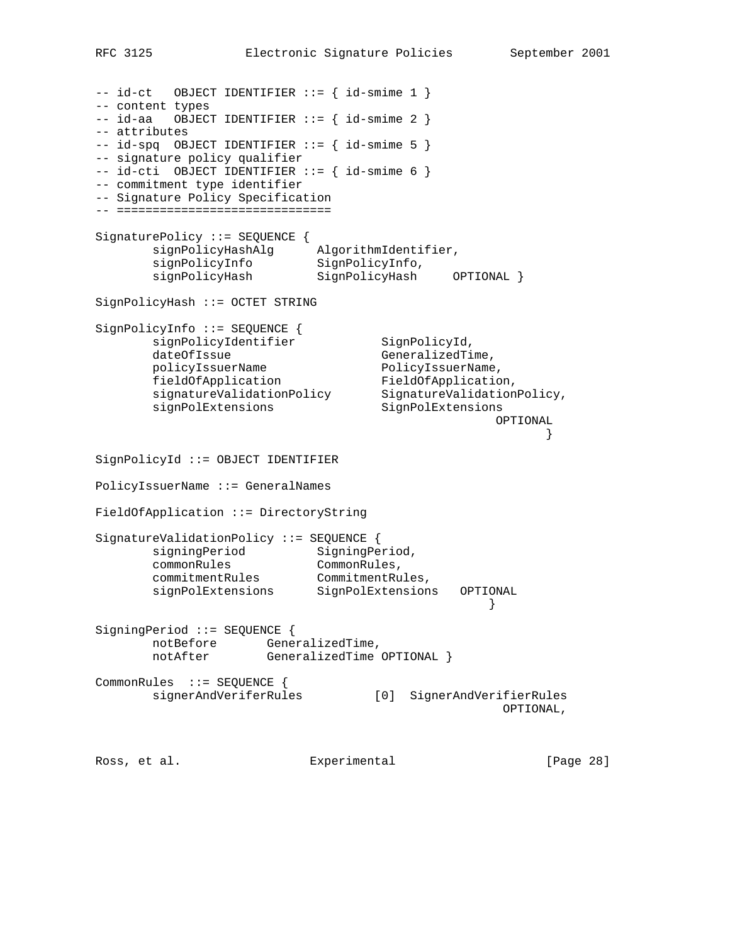```
-- id-ct OBJECT IDENTIFIER ::= { id-smime 1 }
-- content types
-- id-aa OBJECT IDENTIFIER := { id-smime 2 }
-- attributes
-- id-spq OBJECT IDENTIFIER ::= { id-smime 5 }
-- signature policy qualifier
-- id-cti OBJECT IDENTIFIER ::= { id-smime 6 }
-- commitment type identifier
-- Signature Policy Specification
-- ==============================
SignaturePolicy ::= SEQUENCE {
 signPolicyHashAlg AlgorithmIdentifier,
signPolicyInfo SignPolicyInfo,
 signPolicyHash SignPolicyHash OPTIONAL }
SignPolicyHash ::= OCTET STRING
SignPolicyInfo ::= SEQUENCE {
      signPolicyIdentifier SignPolicyId,
dateOfIssue GeneralizedTime,
policyIssuerName PolicyIssuerName,
fieldOfApplication FieldOfApplication,
 signatureValidationPolicy SignatureValidationPolicy,
 signPolExtensions SignPolExtensions
 OPTIONAL
 }
SignPolicyId ::= OBJECT IDENTIFIER
PolicyIssuerName ::= GeneralNames
FieldOfApplication ::= DirectoryString
SignatureValidationPolicy ::= SEQUENCE {
     signingPeriod SigningPeriod,
 commonRules CommonRules,
 commitmentRules CommitmentRules,
 signPolExtensions SignPolExtensions OPTIONAL
 }
SigningPeriod ::= SEQUENCE {
       notBefore GeneralizedTime,
      notAfter GeneralizedTime OPTIONAL }
CommonRules ::= SEQUENCE {
       signerAndVeriferRules [0] SignerAndVerifierRules
                                            OPTIONAL,
Ross, et al.               Experimental           [Page 28]
```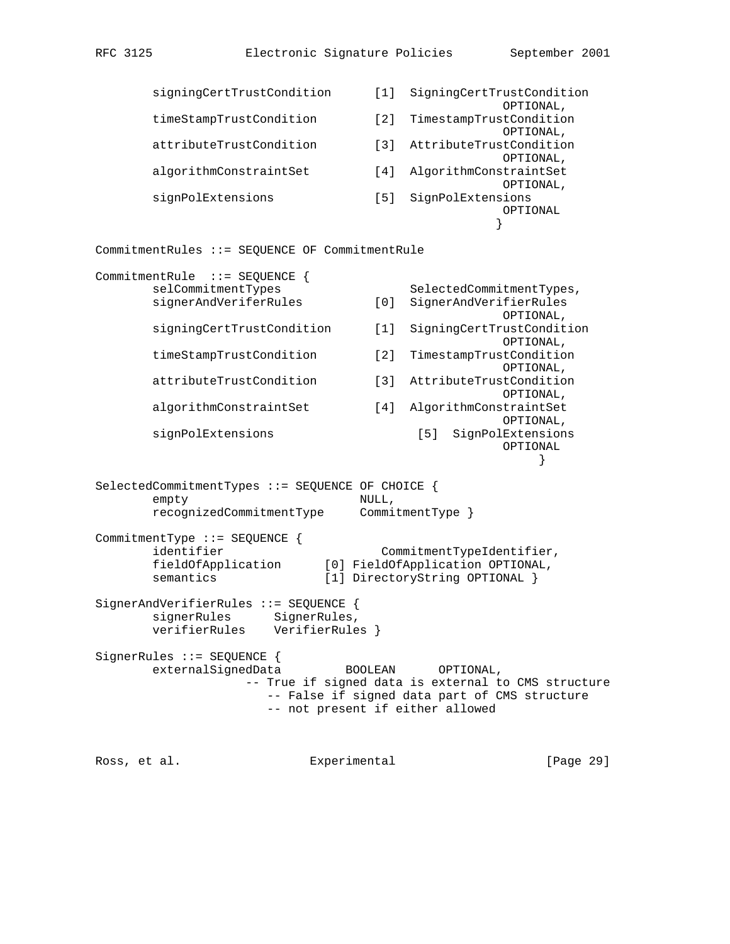```
 signingCertTrustCondition [1] SigningCertTrustCondition
                                 ,OPTIONAL<br>TimestampTrustConditio
        timeStampTrustCondition [2] TimestampTrustCondition
                                 OPTIONAL,<br>(3) AttributeTrustCondition
        attributeTrustCondition [3] AttributeTrustCondition
                                                  OPTIONAL,
        algorithmConstraintSet [4] AlgorithmConstraintSet
                                                  OPTIONAL,
        signPolExtensions [5] SignPolExtensions
                                                  OPTIONAL
 }
CommitmentRules ::= SEQUENCE OF CommitmentRule
CommitmentRule ::= SEQUENCE {
       selCommitmentTypes SelectedCommitmentTypes,
       signerAndVeriferRules [0] SignerAndVerifierRules
                                , OPTIONAL<br>SigningCertTrustCondition (1)
        signingCertTrustCondition [1] SigningCertTrustCondition
                                                  OPTIONAL,
        timeStampTrustCondition [2] TimestampTrustCondition
                                                  OPTIONAL,
       attributeTrustCondition [3] AttributeTrustCondition
                                                  OPTIONAL,
        algorithmConstraintSet [4] AlgorithmConstraintSet
                                                   OPTIONAL,
        signPolExtensions [5] SignPolExtensions
                                                  OPTIONAL
 }
SelectedCommitmentTypes ::= SEQUENCE OF CHOICE {
       empty NULL,
        recognizedCommitmentType CommitmentType }
CommitmentType ::= SEQUENCE {
       identifier CommitmentTypeIdentifier,
 fieldOfApplication [0] FieldOfApplication OPTIONAL,
semantics [1] DirectoryString OPTIONAL }
SignerAndVerifierRules ::= SEQUENCE {
       signerRules SignerRules,
       verifierRules VerifierRules }
SignerRules ::= SEQUENCE {
       externalSignedData BOOLEAN OPTIONAL,
                   -- True if signed data is external to CMS structure
                      -- False if signed data part of CMS structure
                      -- not present if either allowed
Ross, et al.                 Experimental             [Page 29]
```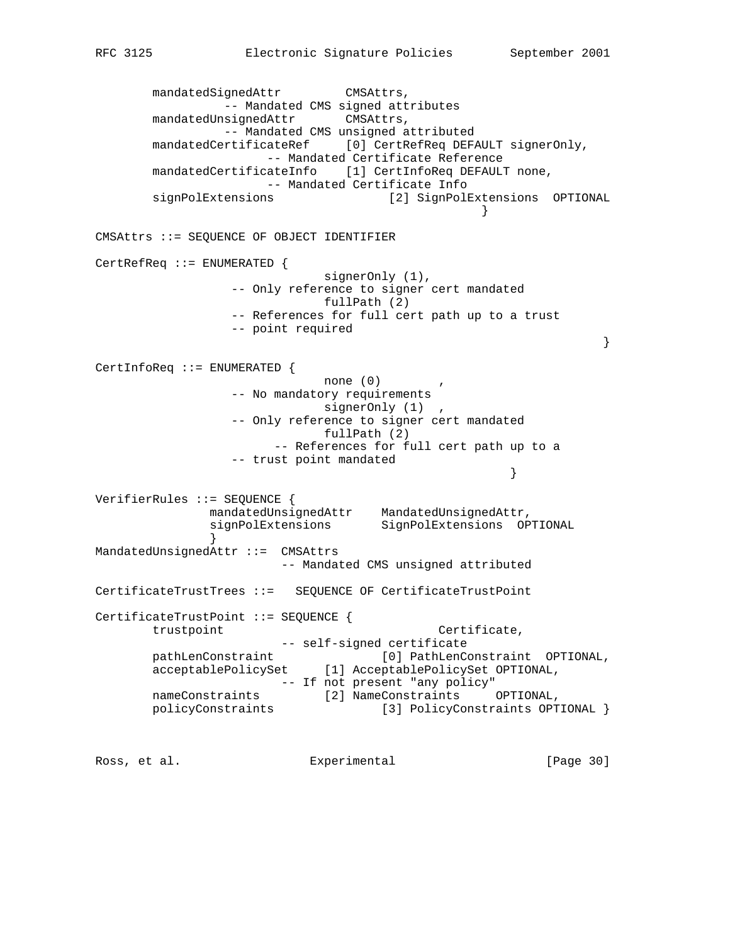```
mandatedSignedAttr CMSAttrs,
                -- Mandated CMS signed attributes
       mandatedUnsignedAttr CMSAttrs,
                -- Mandated CMS unsigned attributed
       mandatedCertificateRef [0] CertRefReq DEFAULT signerOnly,
                     -- Mandated Certificate Reference
      mandatedCertificateInfo [1] CertInfoReq DEFAULT none,
                    -- Mandated Certificate Info
       signPolExtensions [2] SignPolExtensions OPTIONAL
 }
CMSAttrs ::= SEQUENCE OF OBJECT IDENTIFIER
CertRefReq ::= ENUMERATED {
                           signerOnly (1),
                 -- Only reference to signer cert mandated
                           fullPath (2)
                 -- References for full cert path up to a trust
                 -- point required
 }
CertInfoReq ::= ENUMERATED {
                          none (0) -- No mandatory requirements
                           signerOnly (1) ,
                 -- Only reference to signer cert mandated
                           fullPath (2)
                      -- References for full cert path up to a
                 -- trust point mandated
 }
VerifierRules ::= SEQUENCE {
 mandatedUnsignedAttr MandatedUnsignedAttr,
 signPolExtensions SignPolExtensions OPTIONAL
 }
MandatedUnsignedAttr ::= CMSAttrs
                      -- Mandated CMS unsigned attributed
CertificateTrustTrees ::= SEQUENCE OF CertificateTrustPoint
CertificateTrustPoint ::= SEQUENCE {
      trustpoint \qquad \qquad \text{Certificance},
                     -- self-signed certificate
      pathLenConstraint [0] PathLenConstraint OPTIONAL,<br>acceptablePolicySet [1] AcceptablePolicySet OPTIONAL,
 acceptablePolicySet [1] AcceptablePolicySet OPTIONAL,
 -- If not present "any policy"
 nameConstraints [2] NameConstraints OPTIONAL,
 policyConstraints [3] PolicyConstraints OPTIONAL }
```
Ross, et al. Subsection Experimental Experimental [Page 30]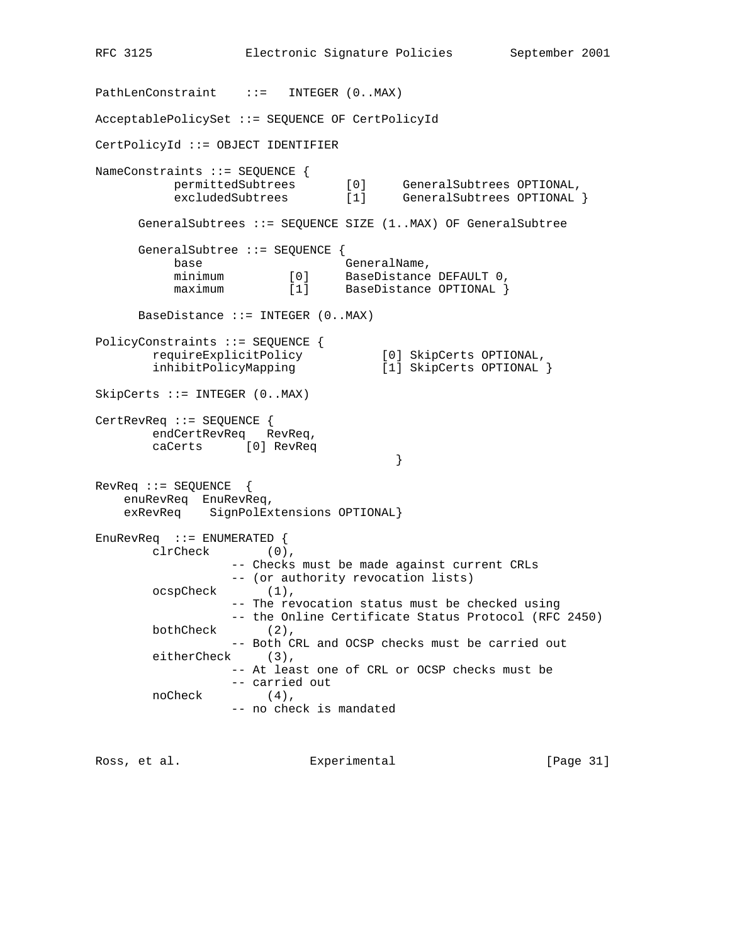```
RFC 3125 Electronic Signature Policies September 2001
PathLenConstraint ::= INTEGER (0..MAX)
AcceptablePolicySet ::= SEQUENCE OF CertPolicyId
CertPolicyId ::= OBJECT IDENTIFIER
NameConstraints ::= SEQUENCE {
 permittedSubtrees [0] GeneralSubtrees OPTIONAL,
 excludedSubtrees [1] GeneralSubtrees OPTIONAL }
      GeneralSubtrees ::= SEQUENCE SIZE (1..MAX) OF GeneralSubtree
      GeneralSubtree ::= SEQUENCE {
base base GeneralName,
 minimum [0] BaseDistance DEFAULT 0,
maximum [1] BaseDistance OPTIONAL }
     BaseDistance ::= INTEGER (0..MAX)PolicyConstraints ::= SEQUENCE {
 requireExplicitPolicy [0] SkipCerts OPTIONAL,
 inhibitPolicyMapping [1] SkipCerts OPTIONAL }
SkipCerts ::= INTEGER (0..MAX)
CertRevReq ::= SEQUENCE {
       endCertRevReq RevReq,
       caCerts [0] RevReq
 }
RevReq ::= SEQUENCE {
    enuRevReq EnuRevReq,
    exRevReq SignPolExtensions OPTIONAL}
EnuRevReq ::= ENUMERATED {
       clrCheck (0),
                -- Checks must be made against current CRLs
                 -- (or authority revocation lists)
       ocspCheck (1),
                 -- The revocation status must be checked using
                 -- the Online Certificate Status Protocol (RFC 2450)
       bothCheck (2),
                 -- Both CRL and OCSP checks must be carried out
        eitherCheck (3),
                 -- At least one of CRL or OCSP checks must be
                 -- carried out
       noCheck (4),
                -- no check is mandated
```
Ross, et al. Subsection Experimental Experimental [Page 31]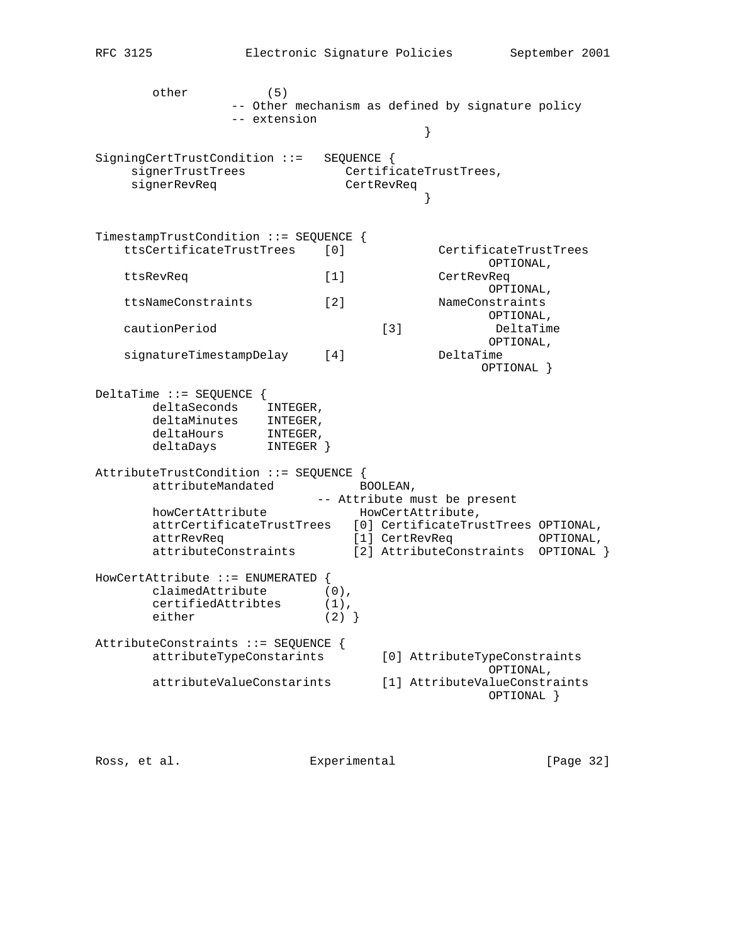other (5) -- Other mechanism as defined by signature policy -- extension } SigningCertTrustCondition ::= SEQUENCE { signerTrustTrees CertificateTrustTrees, signerRevReq entries CertRevReq } TimestampTrustCondition ::= SEQUENCE { ttsCertificateTrustTrees [0] CertificateTrustTrees OPTIONAL, ttsRevReq [1] CertRevReq OPTIONAL, ttsNameConstraints [2] NameConstraints OPTIONAL, cautionPeriod [3] DeltaTime [3] DeltaTim<br>OPTIONAL, signatureTimestampDelay [4] DeltaTime OPTIONAL } DeltaTime ::= SEQUENCE { deltaSeconds INTEGER, deltaMinutes INTEGER, deltaHours INTEGER, deltaDays INTEGER } AttributeTrustCondition ::= SEQUENCE { attributeMandated BOOLEAN, -- Attribute must be present howCertAttribute HowCertAttribute, attrCertificateTrustTrees [0] CertificateTrustTrees OPTIONAL, attrRevReq [1] CertRevReq OPTIONAL, attributeConstraints [2] AttributeConstraints OPTIONAL } HowCertAttribute ::= ENUMERATED { claimedAttribute (0), certifiedAttribtes (1), either  $(2)$  } AttributeConstraints ::= SEQUENCE { attributeTypeConstarints [0] AttributeTypeConstraints OPTIONAL, attributeValueConstarints [1] AttributeValueConstraints OPTIONAL }

Ross, et al. Experimental [Page 32]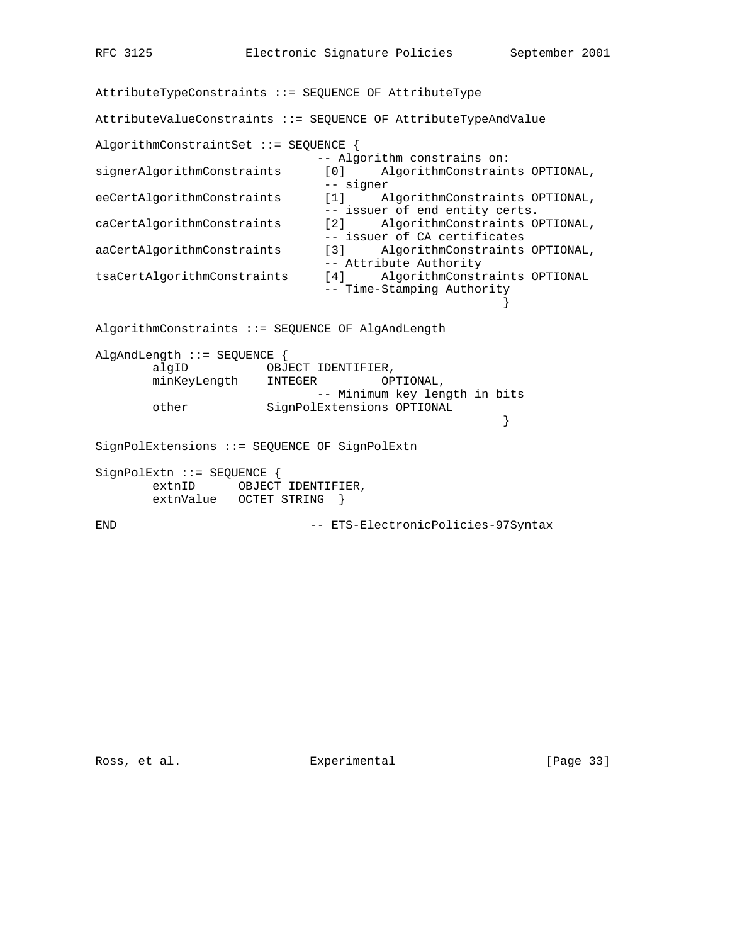AttributeTypeConstraints ::= SEQUENCE OF AttributeType AttributeValueConstraints ::= SEQUENCE OF AttributeTypeAndValue AlgorithmConstraintSet ::= SEQUENCE { -- Algorithm constrains on: signerAlgorithmConstraints [0] AlgorithmConstraints OPTIONAL, -- signer eeCertAlgorithmConstraints [1] AlgorithmConstraints OPTIONAL, -- issuer of end entity certs. caCertAlgorithmConstraints [2] AlgorithmConstraints OPTIONAL, -- issuer of CA certificates aaCertAlgorithmConstraints [3] AlgorithmConstraints OPTIONAL, -- Attribute Authority<br>tsaCertAlgorithmConstraints [4] AlgorithmConstr [4] AlgorithmConstraints OPTIONAL -- Time-Stamping Authority } AlgorithmConstraints ::= SEQUENCE OF AlgAndLength AlgAndLength ::= SEQUENCE { algID 0BJECT IDENTIFIER,<br>minKeyLength INTEGER OPTIONAL, minKeyLength INTEGER -- Minimum key length in bits other SignPolExtensions OPTIONAL } SignPolExtensions ::= SEQUENCE OF SignPolExtn SignPolExtn ::= SEQUENCE { extnID OBJECT IDENTIFIER, extnValue OCTET STRING } END -- ETS-ElectronicPolicies-97Syntax

Ross, et al. Experimental [Page 33]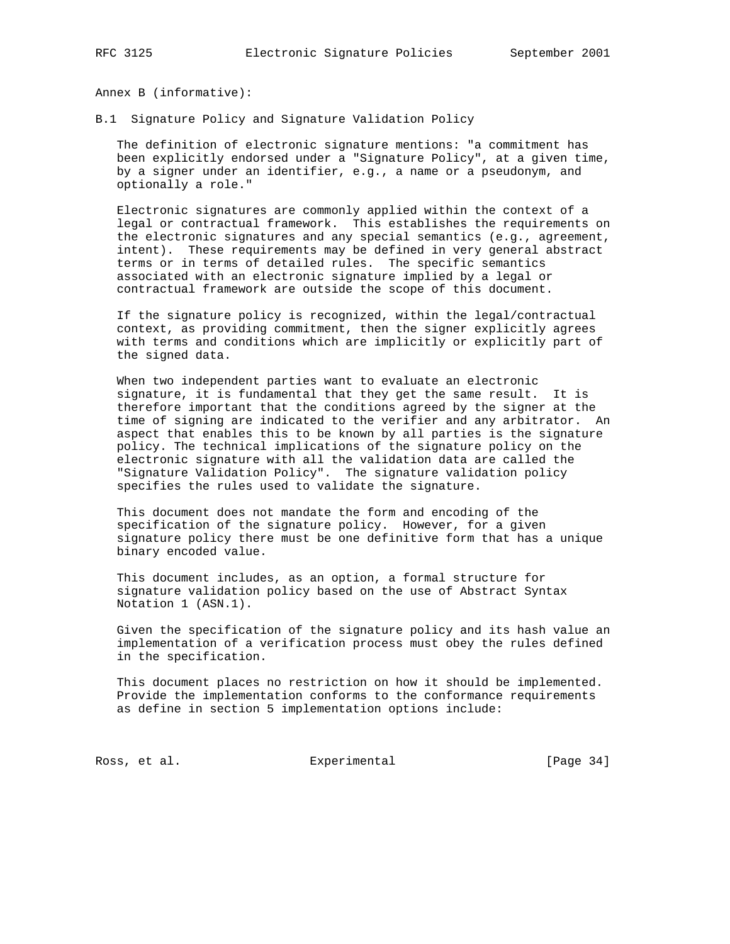Annex B (informative):

B.1 Signature Policy and Signature Validation Policy

 The definition of electronic signature mentions: "a commitment has been explicitly endorsed under a "Signature Policy", at a given time, by a signer under an identifier, e.g., a name or a pseudonym, and optionally a role."

 Electronic signatures are commonly applied within the context of a legal or contractual framework. This establishes the requirements on the electronic signatures and any special semantics (e.g., agreement, intent). These requirements may be defined in very general abstract terms or in terms of detailed rules. The specific semantics associated with an electronic signature implied by a legal or contractual framework are outside the scope of this document.

 If the signature policy is recognized, within the legal/contractual context, as providing commitment, then the signer explicitly agrees with terms and conditions which are implicitly or explicitly part of the signed data.

 When two independent parties want to evaluate an electronic signature, it is fundamental that they get the same result. It is therefore important that the conditions agreed by the signer at the time of signing are indicated to the verifier and any arbitrator. An aspect that enables this to be known by all parties is the signature policy. The technical implications of the signature policy on the electronic signature with all the validation data are called the "Signature Validation Policy". The signature validation policy specifies the rules used to validate the signature.

 This document does not mandate the form and encoding of the specification of the signature policy. However, for a given signature policy there must be one definitive form that has a unique binary encoded value.

 This document includes, as an option, a formal structure for signature validation policy based on the use of Abstract Syntax Notation 1 (ASN.1).

 Given the specification of the signature policy and its hash value an implementation of a verification process must obey the rules defined in the specification.

 This document places no restriction on how it should be implemented. Provide the implementation conforms to the conformance requirements as define in section 5 implementation options include:

Ross, et al. Subsection Experimental Ross, et al. [Page 34]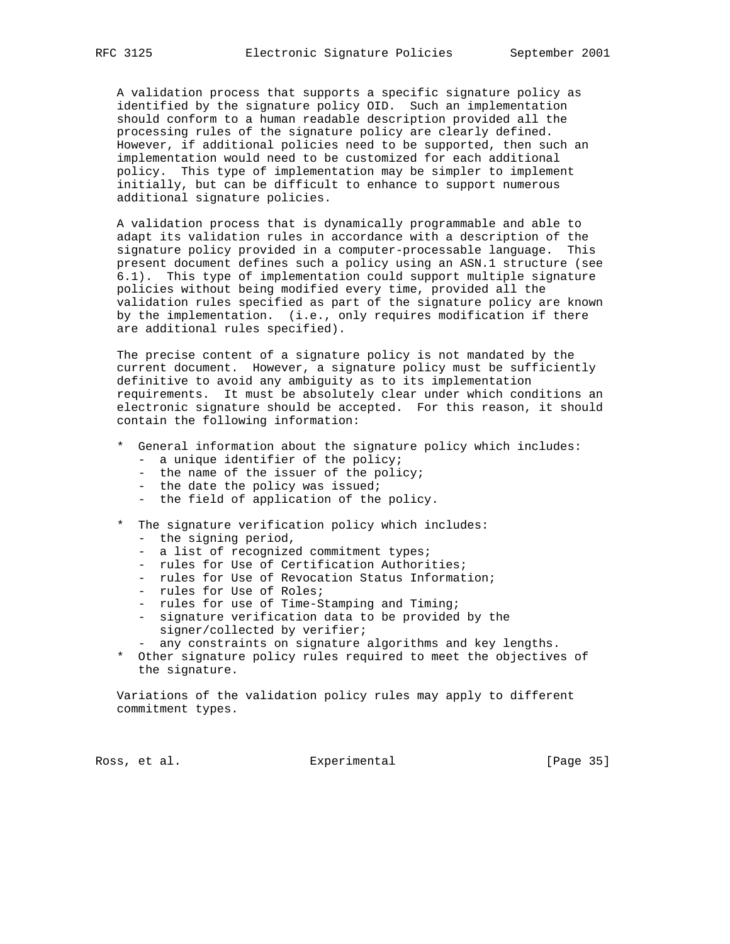A validation process that supports a specific signature policy as identified by the signature policy OID. Such an implementation should conform to a human readable description provided all the processing rules of the signature policy are clearly defined. However, if additional policies need to be supported, then such an implementation would need to be customized for each additional policy. This type of implementation may be simpler to implement initially, but can be difficult to enhance to support numerous additional signature policies.

 A validation process that is dynamically programmable and able to adapt its validation rules in accordance with a description of the signature policy provided in a computer-processable language. This present document defines such a policy using an ASN.1 structure (see 6.1). This type of implementation could support multiple signature policies without being modified every time, provided all the validation rules specified as part of the signature policy are known by the implementation. (i.e., only requires modification if there are additional rules specified).

 The precise content of a signature policy is not mandated by the current document. However, a signature policy must be sufficiently definitive to avoid any ambiguity as to its implementation requirements. It must be absolutely clear under which conditions an electronic signature should be accepted. For this reason, it should contain the following information:

- \* General information about the signature policy which includes:
	- a unique identifier of the policy;
	- the name of the issuer of the policy;
	- the date the policy was issued;
	- the field of application of the policy.

## \* The signature verification policy which includes:

- the signing period,
- a list of recognized commitment types;
- rules for Use of Certification Authorities;
- rules for Use of Revocation Status Information;
- rules for Use of Roles;
- rules for use of Time-Stamping and Timing;
- signature verification data to be provided by the signer/collected by verifier;
- any constraints on signature algorithms and key lengths.
- \* Other signature policy rules required to meet the objectives of the signature.

 Variations of the validation policy rules may apply to different commitment types.

Ross, et al. Subsection Experimental Experimental [Page 35]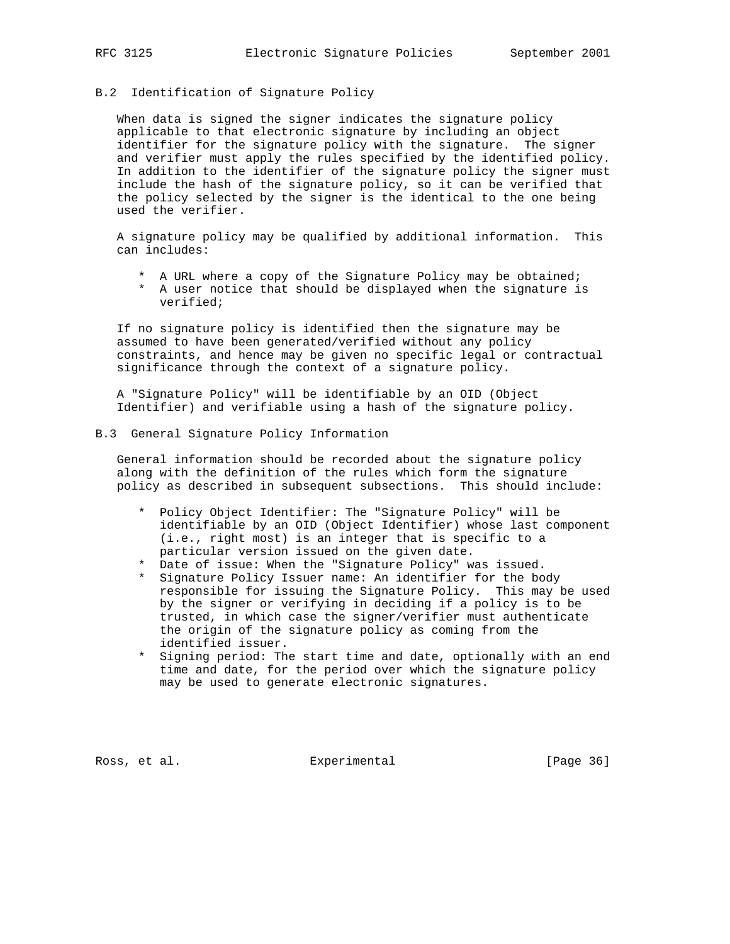# B.2 Identification of Signature Policy

 When data is signed the signer indicates the signature policy applicable to that electronic signature by including an object identifier for the signature policy with the signature. The signer and verifier must apply the rules specified by the identified policy. In addition to the identifier of the signature policy the signer must include the hash of the signature policy, so it can be verified that the policy selected by the signer is the identical to the one being used the verifier.

 A signature policy may be qualified by additional information. This can includes:

- \* A URL where a copy of the Signature Policy may be obtained;
- \* A user notice that should be displayed when the signature is verified;

 If no signature policy is identified then the signature may be assumed to have been generated/verified without any policy constraints, and hence may be given no specific legal or contractual significance through the context of a signature policy.

 A "Signature Policy" will be identifiable by an OID (Object Identifier) and verifiable using a hash of the signature policy.

B.3 General Signature Policy Information

 General information should be recorded about the signature policy along with the definition of the rules which form the signature policy as described in subsequent subsections. This should include:

- \* Policy Object Identifier: The "Signature Policy" will be identifiable by an OID (Object Identifier) whose last component (i.e., right most) is an integer that is specific to a particular version issued on the given date.
- \* Date of issue: When the "Signature Policy" was issued.
- \* Signature Policy Issuer name: An identifier for the body responsible for issuing the Signature Policy. This may be used by the signer or verifying in deciding if a policy is to be trusted, in which case the signer/verifier must authenticate the origin of the signature policy as coming from the identified issuer.
- \* Signing period: The start time and date, optionally with an end time and date, for the period over which the signature policy may be used to generate electronic signatures.

Ross, et al. Subsection Experimental Experimental [Page 36]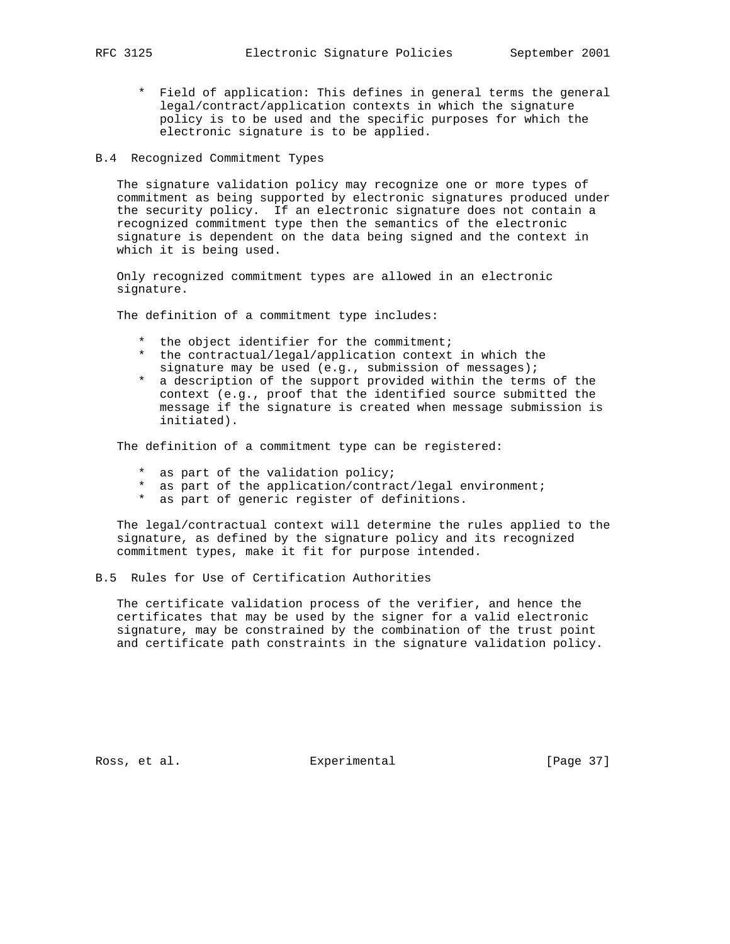- \* Field of application: This defines in general terms the general legal/contract/application contexts in which the signature policy is to be used and the specific purposes for which the electronic signature is to be applied.
- B.4 Recognized Commitment Types

 The signature validation policy may recognize one or more types of commitment as being supported by electronic signatures produced under the security policy. If an electronic signature does not contain a recognized commitment type then the semantics of the electronic signature is dependent on the data being signed and the context in which it is being used.

 Only recognized commitment types are allowed in an electronic signature.

The definition of a commitment type includes:

- \* the object identifier for the commitment;
- \* the contractual/legal/application context in which the signature may be used (e.g., submission of messages);
- \* a description of the support provided within the terms of the context (e.g., proof that the identified source submitted the message if the signature is created when message submission is initiated).

The definition of a commitment type can be registered:

- \* as part of the validation policy;
- \* as part of the application/contract/legal environment;
- \* as part of generic register of definitions.

 The legal/contractual context will determine the rules applied to the signature, as defined by the signature policy and its recognized commitment types, make it fit for purpose intended.

#### B.5 Rules for Use of Certification Authorities

 The certificate validation process of the verifier, and hence the certificates that may be used by the signer for a valid electronic signature, may be constrained by the combination of the trust point and certificate path constraints in the signature validation policy.

Ross, et al. Subsection Experimental Experimental [Page 37]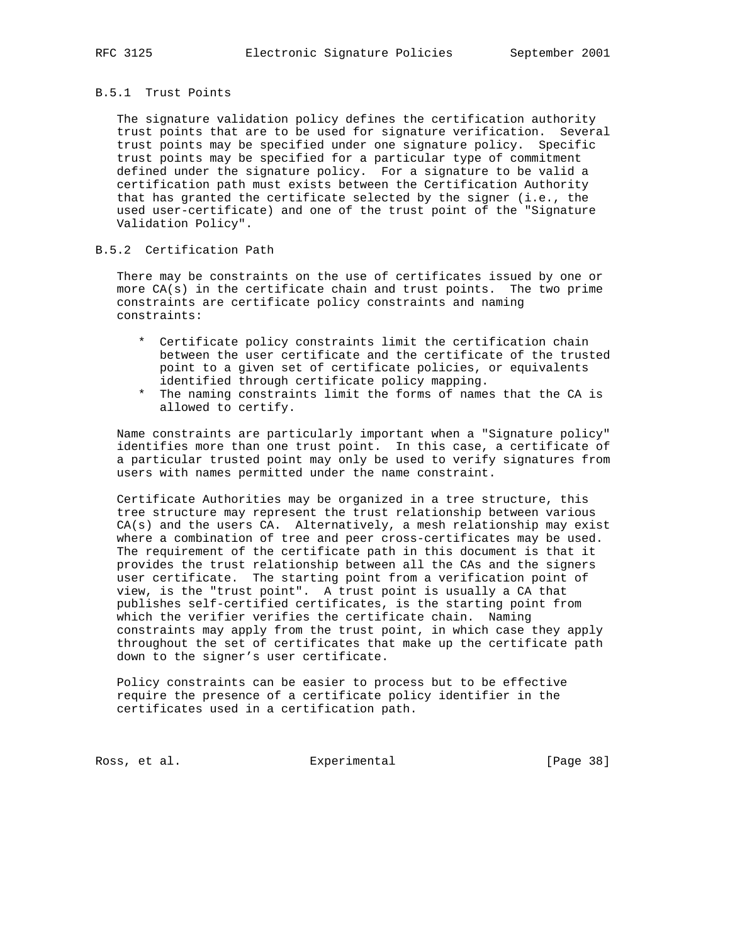## B.5.1 Trust Points

 The signature validation policy defines the certification authority trust points that are to be used for signature verification. Several trust points may be specified under one signature policy. Specific trust points may be specified for a particular type of commitment defined under the signature policy. For a signature to be valid a certification path must exists between the Certification Authority that has granted the certificate selected by the signer (i.e., the used user-certificate) and one of the trust point of the "Signature Validation Policy".

#### B.5.2 Certification Path

 There may be constraints on the use of certificates issued by one or more CA(s) in the certificate chain and trust points. The two prime constraints are certificate policy constraints and naming constraints:

- \* Certificate policy constraints limit the certification chain between the user certificate and the certificate of the trusted point to a given set of certificate policies, or equivalents identified through certificate policy mapping.
- \* The naming constraints limit the forms of names that the CA is allowed to certify.

 Name constraints are particularly important when a "Signature policy" identifies more than one trust point. In this case, a certificate of a particular trusted point may only be used to verify signatures from users with names permitted under the name constraint.

 Certificate Authorities may be organized in a tree structure, this tree structure may represent the trust relationship between various CA(s) and the users CA. Alternatively, a mesh relationship may exist where a combination of tree and peer cross-certificates may be used. The requirement of the certificate path in this document is that it provides the trust relationship between all the CAs and the signers user certificate. The starting point from a verification point of view, is the "trust point". A trust point is usually a CA that publishes self-certified certificates, is the starting point from which the verifier verifies the certificate chain. Naming constraints may apply from the trust point, in which case they apply throughout the set of certificates that make up the certificate path down to the signer's user certificate.

 Policy constraints can be easier to process but to be effective require the presence of a certificate policy identifier in the certificates used in a certification path.

Ross, et al. Subsection Experimental Ross, et al. (Page 38)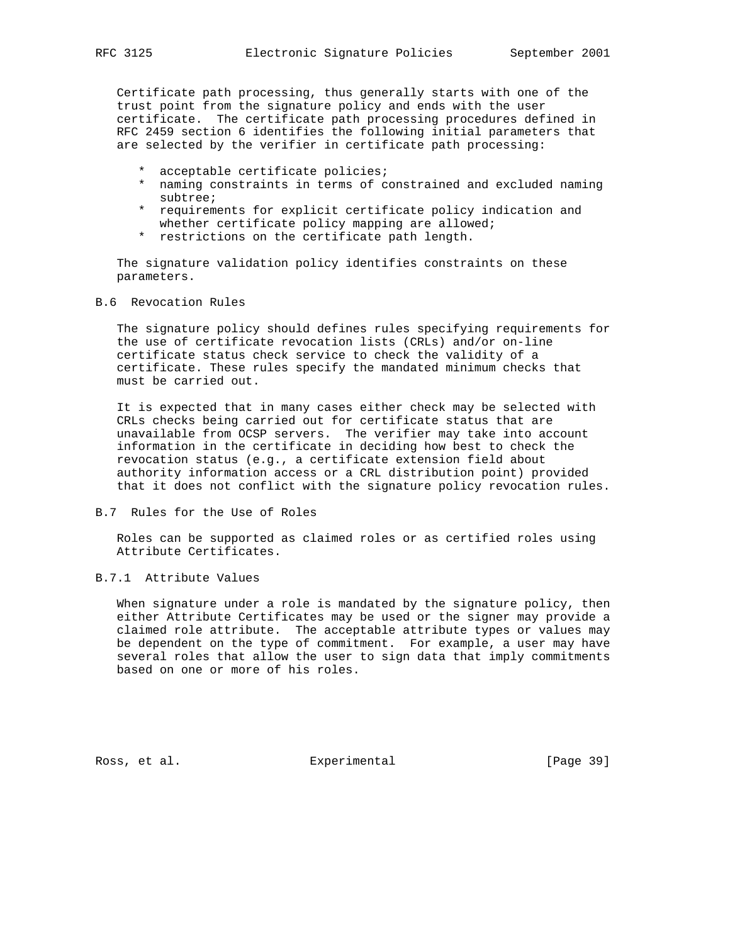Certificate path processing, thus generally starts with one of the trust point from the signature policy and ends with the user certificate. The certificate path processing procedures defined in RFC 2459 section 6 identifies the following initial parameters that are selected by the verifier in certificate path processing:

- \* acceptable certificate policies;
- \* naming constraints in terms of constrained and excluded naming subtree;
- \* requirements for explicit certificate policy indication and whether certificate policy mapping are allowed;
- \* restrictions on the certificate path length.

 The signature validation policy identifies constraints on these parameters.

B.6 Revocation Rules

 The signature policy should defines rules specifying requirements for the use of certificate revocation lists (CRLs) and/or on-line certificate status check service to check the validity of a certificate. These rules specify the mandated minimum checks that must be carried out.

 It is expected that in many cases either check may be selected with CRLs checks being carried out for certificate status that are unavailable from OCSP servers. The verifier may take into account information in the certificate in deciding how best to check the revocation status (e.g., a certificate extension field about authority information access or a CRL distribution point) provided that it does not conflict with the signature policy revocation rules.

B.7 Rules for the Use of Roles

 Roles can be supported as claimed roles or as certified roles using Attribute Certificates.

## B.7.1 Attribute Values

 When signature under a role is mandated by the signature policy, then either Attribute Certificates may be used or the signer may provide a claimed role attribute. The acceptable attribute types or values may be dependent on the type of commitment. For example, a user may have several roles that allow the user to sign data that imply commitments based on one or more of his roles.

Ross, et al. Subsection Experimental Experimental [Page 39]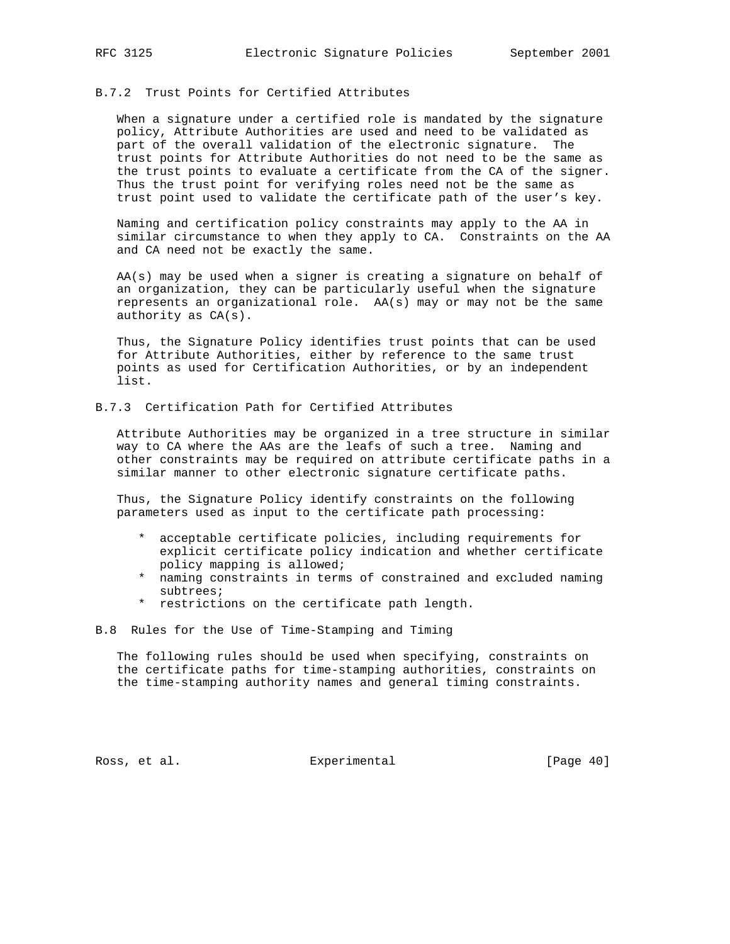## B.7.2 Trust Points for Certified Attributes

 When a signature under a certified role is mandated by the signature policy, Attribute Authorities are used and need to be validated as part of the overall validation of the electronic signature. The trust points for Attribute Authorities do not need to be the same as the trust points to evaluate a certificate from the CA of the signer. Thus the trust point for verifying roles need not be the same as trust point used to validate the certificate path of the user's key.

 Naming and certification policy constraints may apply to the AA in similar circumstance to when they apply to CA. Constraints on the AA and CA need not be exactly the same.

 AA(s) may be used when a signer is creating a signature on behalf of an organization, they can be particularly useful when the signature represents an organizational role. AA(s) may or may not be the same authority as CA(s).

 Thus, the Signature Policy identifies trust points that can be used for Attribute Authorities, either by reference to the same trust points as used for Certification Authorities, or by an independent list.

# B.7.3 Certification Path for Certified Attributes

 Attribute Authorities may be organized in a tree structure in similar way to CA where the AAs are the leafs of such a tree. Naming and other constraints may be required on attribute certificate paths in a similar manner to other electronic signature certificate paths.

 Thus, the Signature Policy identify constraints on the following parameters used as input to the certificate path processing:

- \* acceptable certificate policies, including requirements for explicit certificate policy indication and whether certificate policy mapping is allowed;
- \* naming constraints in terms of constrained and excluded naming subtrees;
- \* restrictions on the certificate path length.

B.8 Rules for the Use of Time-Stamping and Timing

 The following rules should be used when specifying, constraints on the certificate paths for time-stamping authorities, constraints on the time-stamping authority names and general timing constraints.

Ross, et al. Subsection Experimental Experimental [Page 40]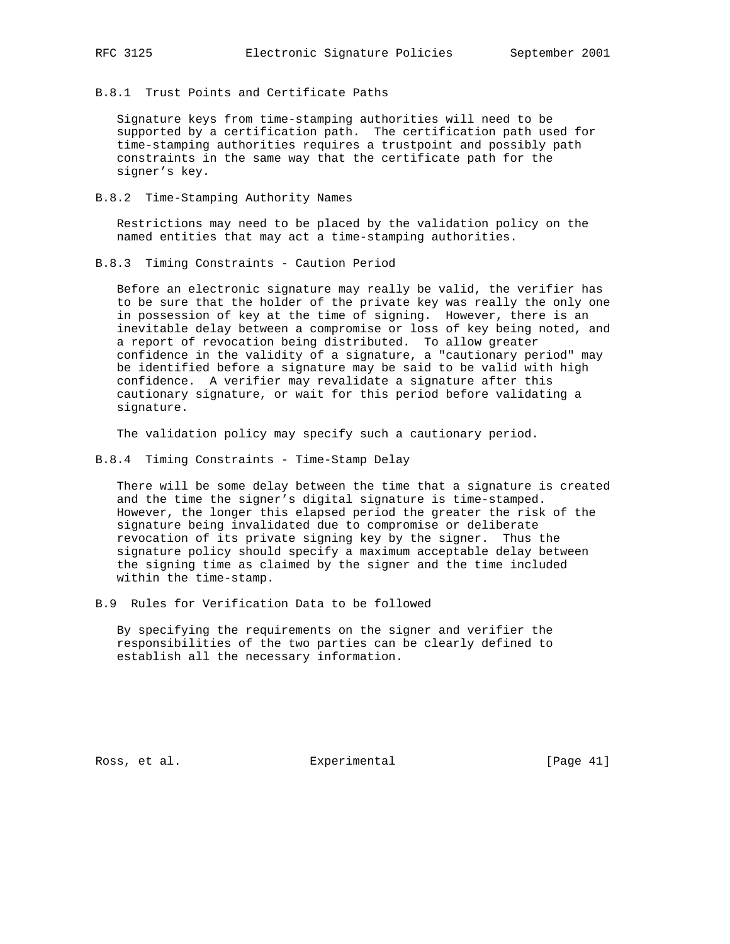B.8.1 Trust Points and Certificate Paths

 Signature keys from time-stamping authorities will need to be supported by a certification path. The certification path used for time-stamping authorities requires a trustpoint and possibly path constraints in the same way that the certificate path for the signer's key.

B.8.2 Time-Stamping Authority Names

 Restrictions may need to be placed by the validation policy on the named entities that may act a time-stamping authorities.

B.8.3 Timing Constraints - Caution Period

 Before an electronic signature may really be valid, the verifier has to be sure that the holder of the private key was really the only one in possession of key at the time of signing. However, there is an inevitable delay between a compromise or loss of key being noted, and a report of revocation being distributed. To allow greater confidence in the validity of a signature, a "cautionary period" may be identified before a signature may be said to be valid with high confidence. A verifier may revalidate a signature after this cautionary signature, or wait for this period before validating a signature.

The validation policy may specify such a cautionary period.

B.8.4 Timing Constraints - Time-Stamp Delay

 There will be some delay between the time that a signature is created and the time the signer's digital signature is time-stamped. However, the longer this elapsed period the greater the risk of the signature being invalidated due to compromise or deliberate revocation of its private signing key by the signer. Thus the signature policy should specify a maximum acceptable delay between the signing time as claimed by the signer and the time included within the time-stamp.

B.9 Rules for Verification Data to be followed

 By specifying the requirements on the signer and verifier the responsibilities of the two parties can be clearly defined to establish all the necessary information.

Ross, et al. Subsection Experimental Experimental [Page 41]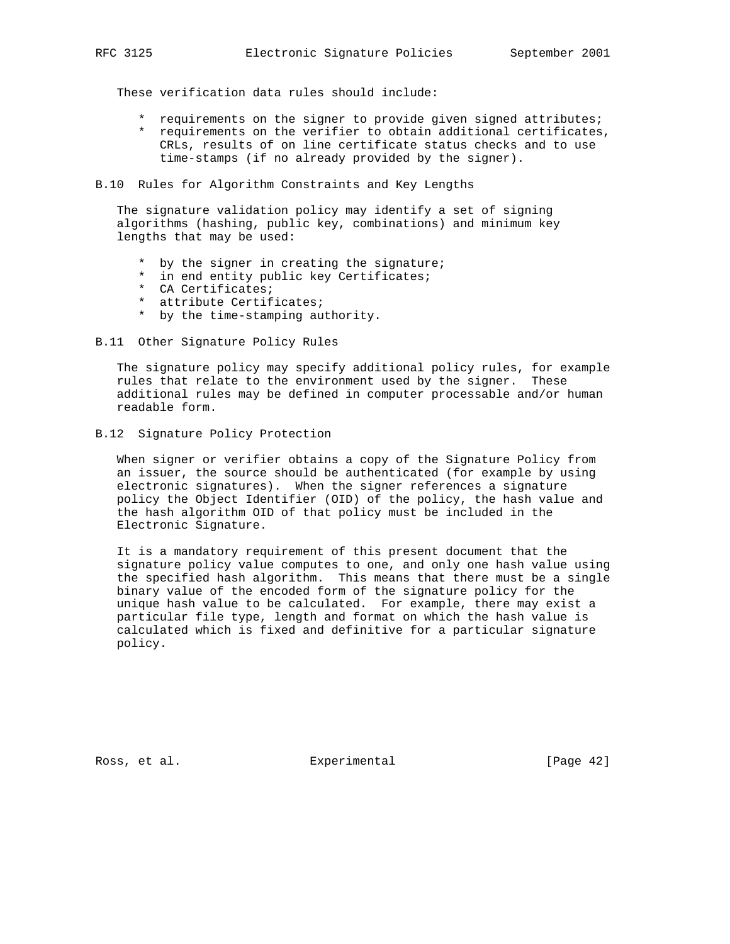These verification data rules should include:

- \* requirements on the signer to provide given signed attributes;
- \* requirements on the verifier to obtain additional certificates, CRLs, results of on line certificate status checks and to use time-stamps (if no already provided by the signer).

B.10 Rules for Algorithm Constraints and Key Lengths

 The signature validation policy may identify a set of signing algorithms (hashing, public key, combinations) and minimum key lengths that may be used:

- \* by the signer in creating the signature;
- \* in end entity public key Certificates;
- \* CA Certificates;
- \* attribute Certificates;
- \* by the time-stamping authority.
- B.11 Other Signature Policy Rules

 The signature policy may specify additional policy rules, for example rules that relate to the environment used by the signer. These additional rules may be defined in computer processable and/or human readable form.

B.12 Signature Policy Protection

 When signer or verifier obtains a copy of the Signature Policy from an issuer, the source should be authenticated (for example by using electronic signatures). When the signer references a signature policy the Object Identifier (OID) of the policy, the hash value and the hash algorithm OID of that policy must be included in the Electronic Signature.

 It is a mandatory requirement of this present document that the signature policy value computes to one, and only one hash value using the specified hash algorithm. This means that there must be a single binary value of the encoded form of the signature policy for the unique hash value to be calculated. For example, there may exist a particular file type, length and format on which the hash value is calculated which is fixed and definitive for a particular signature policy.

Ross, et al. Subsection Experimental Experimental [Page 42]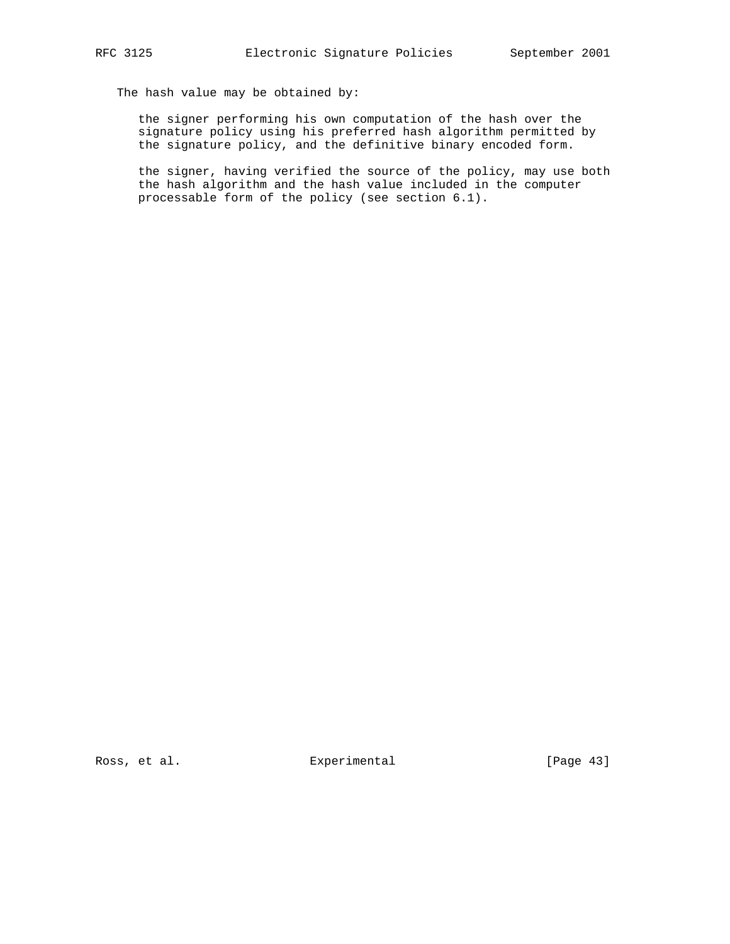The hash value may be obtained by:

 the signer performing his own computation of the hash over the signature policy using his preferred hash algorithm permitted by the signature policy, and the definitive binary encoded form.

 the signer, having verified the source of the policy, may use both the hash algorithm and the hash value included in the computer processable form of the policy (see section 6.1).